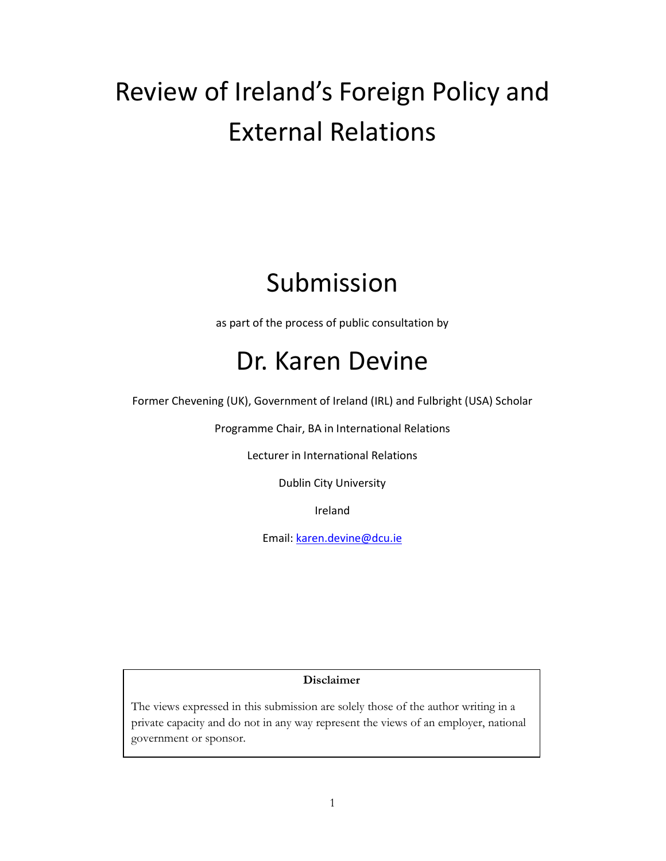# Review of Ireland's Foreign Policy and External Relations

# Submission

as part of the process of public consultation by

# Dr. Karen Devine

Former Chevening (UK), Government of Ireland (IRL) and Fulbright (USA) Scholar

Programme Chair, BA in International Relations

Lecturer in International Relations

Dublin City University

Ireland

Email: karen.devine@dcu.ie

# Disclaimer

The views expressed in this submission are solely those of the author writing in a private capacity and do not in any way represent the views of an employer, national government or sponsor.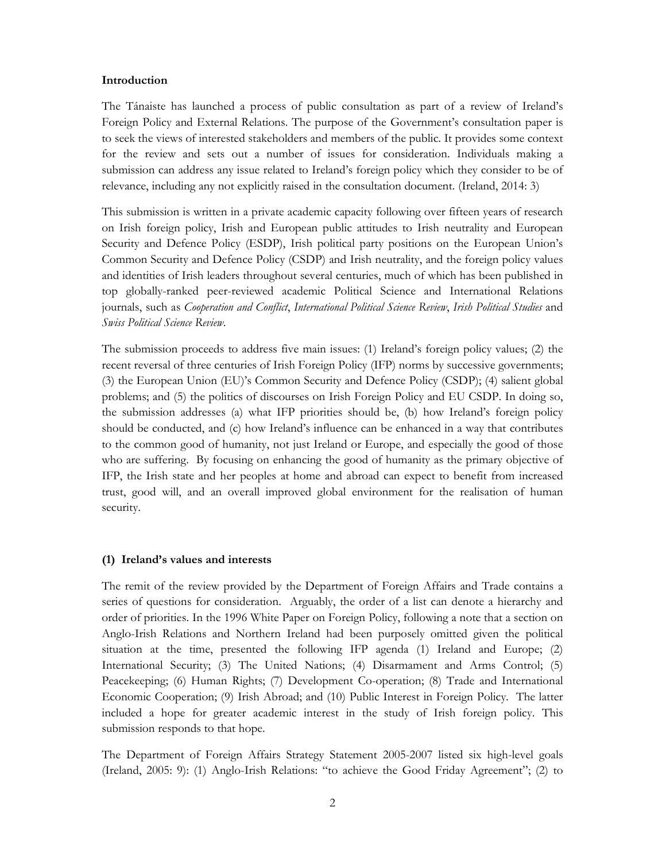#### Introduction

The Tánaiste has launched a process of public consultation as part of a review of Ireland's Foreign Policy and External Relations. The purpose of the Government's consultation paper is to seek the views of interested stakeholders and members of the public. It provides some context for the review and sets out a number of issues for consideration. Individuals making a submission can address any issue related to Ireland's foreign policy which they consider to be of relevance, including any not explicitly raised in the consultation document. (Ireland, 2014: 3)

This submission is written in a private academic capacity following over fifteen years of research on Irish foreign policy, Irish and European public attitudes to Irish neutrality and European Security and Defence Policy (ESDP), Irish political party positions on the European Union's Common Security and Defence Policy (CSDP) and Irish neutrality, and the foreign policy values and identities of Irish leaders throughout several centuries, much of which has been published in top globally-ranked peer-reviewed academic Political Science and International Relations journals, such as Cooperation and Conflict, International Political Science Review, Irish Political Studies and Swiss Political Science Review.

The submission proceeds to address five main issues: (1) Ireland's foreign policy values; (2) the recent reversal of three centuries of Irish Foreign Policy (IFP) norms by successive governments; (3) the European Union (EU)'s Common Security and Defence Policy (CSDP); (4) salient global problems; and (5) the politics of discourses on Irish Foreign Policy and EU CSDP. In doing so, the submission addresses (a) what IFP priorities should be, (b) how Ireland's foreign policy should be conducted, and (c) how Ireland's influence can be enhanced in a way that contributes to the common good of humanity, not just Ireland or Europe, and especially the good of those who are suffering. By focusing on enhancing the good of humanity as the primary objective of IFP, the Irish state and her peoples at home and abroad can expect to benefit from increased trust, good will, and an overall improved global environment for the realisation of human security.

# (1) Ireland's values and interests

The remit of the review provided by the Department of Foreign Affairs and Trade contains a series of questions for consideration. Arguably, the order of a list can denote a hierarchy and order of priorities. In the 1996 White Paper on Foreign Policy, following a note that a section on Anglo-Irish Relations and Northern Ireland had been purposely omitted given the political situation at the time, presented the following IFP agenda (1) Ireland and Europe; (2) International Security; (3) The United Nations; (4) Disarmament and Arms Control; (5) Peacekeeping; (6) Human Rights; (7) Development Co-operation; (8) Trade and International Economic Cooperation; (9) Irish Abroad; and (10) Public Interest in Foreign Policy. The latter included a hope for greater academic interest in the study of Irish foreign policy. This submission responds to that hope.

The Department of Foreign Affairs Strategy Statement 2005-2007 listed six high-level goals (Ireland, 2005: 9): (1) Anglo-Irish Relations: "to achieve the Good Friday Agreement"; (2) to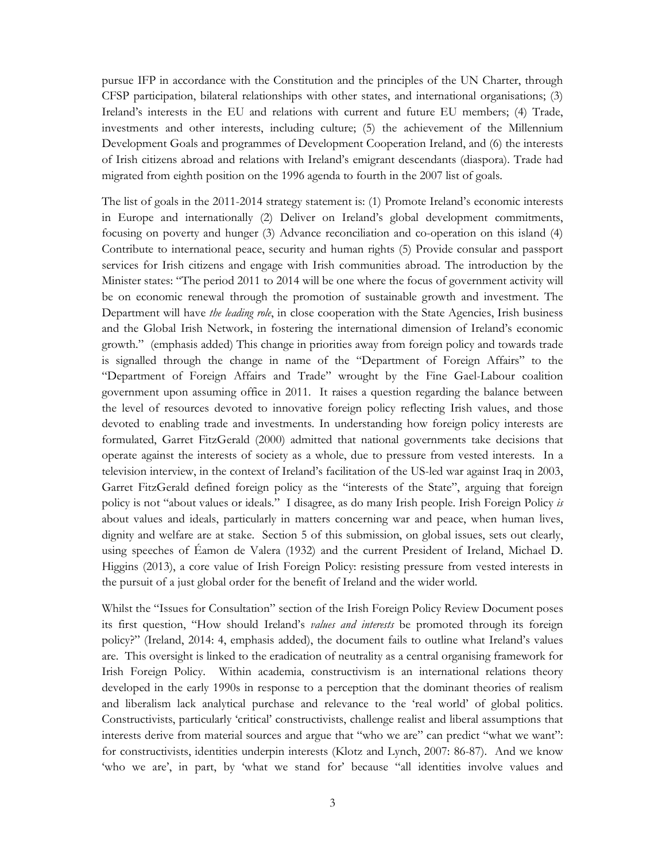pursue IFP in accordance with the Constitution and the principles of the UN Charter, through CFSP participation, bilateral relationships with other states, and international organisations; (3) Ireland's interests in the EU and relations with current and future EU members; (4) Trade, investments and other interests, including culture; (5) the achievement of the Millennium Development Goals and programmes of Development Cooperation Ireland, and (6) the interests of Irish citizens abroad and relations with Ireland's emigrant descendants (diaspora). Trade had migrated from eighth position on the 1996 agenda to fourth in the 2007 list of goals.

The list of goals in the 2011-2014 strategy statement is: (1) Promote Ireland's economic interests in Europe and internationally (2) Deliver on Ireland's global development commitments, focusing on poverty and hunger (3) Advance reconciliation and co-operation on this island (4) Contribute to international peace, security and human rights (5) Provide consular and passport services for Irish citizens and engage with Irish communities abroad. The introduction by the Minister states: "The period 2011 to 2014 will be one where the focus of government activity will be on economic renewal through the promotion of sustainable growth and investment. The Department will have the leading role, in close cooperation with the State Agencies, Irish business and the Global Irish Network, in fostering the international dimension of Ireland's economic growth." (emphasis added) This change in priorities away from foreign policy and towards trade is signalled through the change in name of the "Department of Foreign Affairs" to the "Department of Foreign Affairs and Trade" wrought by the Fine Gael-Labour coalition government upon assuming office in 2011. It raises a question regarding the balance between the level of resources devoted to innovative foreign policy reflecting Irish values, and those devoted to enabling trade and investments. In understanding how foreign policy interests are formulated, Garret FitzGerald (2000) admitted that national governments take decisions that operate against the interests of society as a whole, due to pressure from vested interests. In a television interview, in the context of Ireland's facilitation of the US-led war against Iraq in 2003, Garret FitzGerald defined foreign policy as the "interests of the State", arguing that foreign policy is not "about values or ideals." I disagree, as do many Irish people. Irish Foreign Policy is about values and ideals, particularly in matters concerning war and peace, when human lives, dignity and welfare are at stake. Section 5 of this submission, on global issues, sets out clearly, using speeches of Éamon de Valera (1932) and the current President of Ireland, Michael D. Higgins (2013), a core value of Irish Foreign Policy: resisting pressure from vested interests in the pursuit of a just global order for the benefit of Ireland and the wider world.

Whilst the "Issues for Consultation" section of the Irish Foreign Policy Review Document poses its first question, "How should Ireland's *values and interests* be promoted through its foreign policy?" (Ireland, 2014: 4, emphasis added), the document fails to outline what Ireland's values are. This oversight is linked to the eradication of neutrality as a central organising framework for Irish Foreign Policy. Within academia, constructivism is an international relations theory developed in the early 1990s in response to a perception that the dominant theories of realism and liberalism lack analytical purchase and relevance to the 'real world' of global politics. Constructivists, particularly 'critical' constructivists, challenge realist and liberal assumptions that interests derive from material sources and argue that "who we are" can predict "what we want": for constructivists, identities underpin interests (Klotz and Lynch, 2007: 86-87). And we know 'who we are', in part, by 'what we stand for' because "all identities involve values and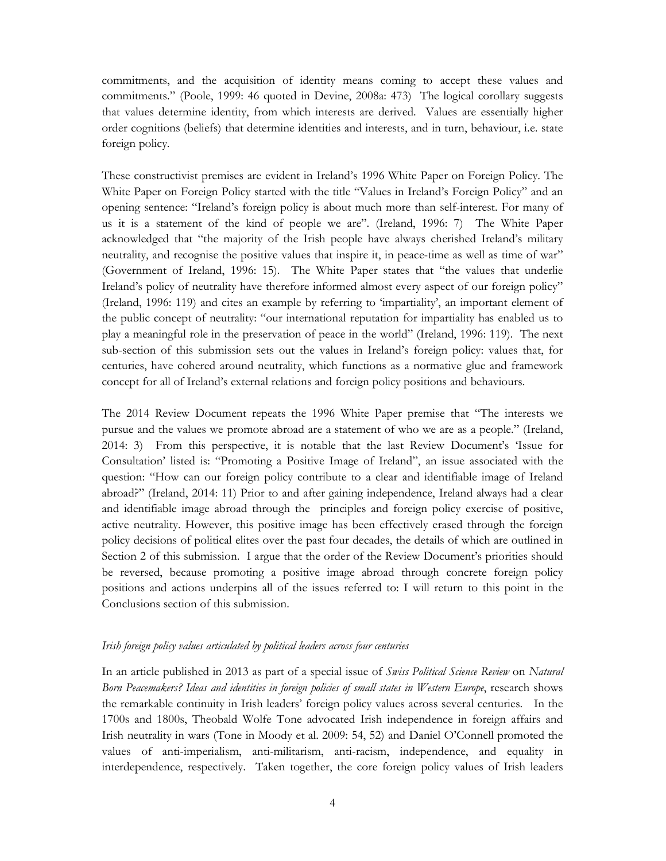commitments, and the acquisition of identity means coming to accept these values and commitments." (Poole, 1999: 46 quoted in Devine, 2008a: 473) The logical corollary suggests that values determine identity, from which interests are derived. Values are essentially higher order cognitions (beliefs) that determine identities and interests, and in turn, behaviour, i.e. state foreign policy.

These constructivist premises are evident in Ireland's 1996 White Paper on Foreign Policy. The White Paper on Foreign Policy started with the title "Values in Ireland's Foreign Policy" and an opening sentence: "Ireland's foreign policy is about much more than self-interest. For many of us it is a statement of the kind of people we are". (Ireland, 1996: 7) The White Paper acknowledged that "the majority of the Irish people have always cherished Ireland's military neutrality, and recognise the positive values that inspire it, in peace-time as well as time of war" (Government of Ireland, 1996: 15). The White Paper states that "the values that underlie Ireland's policy of neutrality have therefore informed almost every aspect of our foreign policy" (Ireland, 1996: 119) and cites an example by referring to 'impartiality', an important element of the public concept of neutrality: "our international reputation for impartiality has enabled us to play a meaningful role in the preservation of peace in the world" (Ireland, 1996: 119). The next sub-section of this submission sets out the values in Ireland's foreign policy: values that, for centuries, have cohered around neutrality, which functions as a normative glue and framework concept for all of Ireland's external relations and foreign policy positions and behaviours.

The 2014 Review Document repeats the 1996 White Paper premise that "The interests we pursue and the values we promote abroad are a statement of who we are as a people." (Ireland, 2014: 3) From this perspective, it is notable that the last Review Document's 'Issue for Consultation' listed is: "Promoting a Positive Image of Ireland", an issue associated with the question: "How can our foreign policy contribute to a clear and identifiable image of Ireland abroad?" (Ireland, 2014: 11) Prior to and after gaining independence, Ireland always had a clear and identifiable image abroad through the principles and foreign policy exercise of positive, active neutrality. However, this positive image has been effectively erased through the foreign policy decisions of political elites over the past four decades, the details of which are outlined in Section 2 of this submission. I argue that the order of the Review Document's priorities should be reversed, because promoting a positive image abroad through concrete foreign policy positions and actions underpins all of the issues referred to: I will return to this point in the Conclusions section of this submission.

# Irish foreign policy values articulated by political leaders across four centuries

In an article published in 2013 as part of a special issue of *Swiss Political Science Review* on *Natural* Born Peacemakers? Ideas and identities in foreign policies of small states in Western Europe, research shows the remarkable continuity in Irish leaders' foreign policy values across several centuries. In the 1700s and 1800s, Theobald Wolfe Tone advocated Irish independence in foreign affairs and Irish neutrality in wars (Tone in Moody et al. 2009: 54, 52) and Daniel O'Connell promoted the values of anti-imperialism, anti-militarism, anti-racism, independence, and equality in interdependence, respectively. Taken together, the core foreign policy values of Irish leaders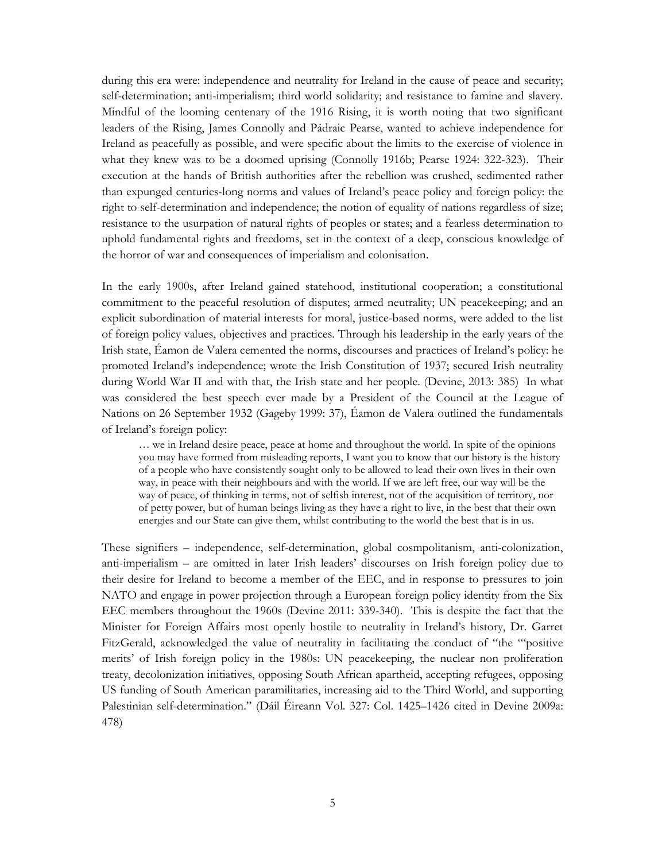during this era were: independence and neutrality for Ireland in the cause of peace and security; self-determination; anti-imperialism; third world solidarity; and resistance to famine and slavery. Mindful of the looming centenary of the 1916 Rising, it is worth noting that two significant leaders of the Rising, James Connolly and Pádraic Pearse, wanted to achieve independence for Ireland as peacefully as possible, and were specific about the limits to the exercise of violence in what they knew was to be a doomed uprising (Connolly 1916b; Pearse 1924: 322-323). Their execution at the hands of British authorities after the rebellion was crushed, sedimented rather than expunged centuries-long norms and values of Ireland's peace policy and foreign policy: the right to self-determination and independence; the notion of equality of nations regardless of size; resistance to the usurpation of natural rights of peoples or states; and a fearless determination to uphold fundamental rights and freedoms, set in the context of a deep, conscious knowledge of the horror of war and consequences of imperialism and colonisation.

In the early 1900s, after Ireland gained statehood, institutional cooperation; a constitutional commitment to the peaceful resolution of disputes; armed neutrality; UN peacekeeping; and an explicit subordination of material interests for moral, justice-based norms, were added to the list of foreign policy values, objectives and practices. Through his leadership in the early years of the Irish state, Éamon de Valera cemented the norms, discourses and practices of Ireland's policy: he promoted Ireland's independence; wrote the Irish Constitution of 1937; secured Irish neutrality during World War II and with that, the Irish state and her people. (Devine, 2013: 385) In what was considered the best speech ever made by a President of the Council at the League of Nations on 26 September 1932 (Gageby 1999: 37), Éamon de Valera outlined the fundamentals of Ireland's foreign policy:

… we in Ireland desire peace, peace at home and throughout the world. In spite of the opinions you may have formed from misleading reports, I want you to know that our history is the history of a people who have consistently sought only to be allowed to lead their own lives in their own way, in peace with their neighbours and with the world. If we are left free, our way will be the way of peace, of thinking in terms, not of selfish interest, not of the acquisition of territory, nor of petty power, but of human beings living as they have a right to live, in the best that their own energies and our State can give them, whilst contributing to the world the best that is in us.

These signifiers – independence, self-determination, global cosmpolitanism, anti-colonization, anti-imperialism – are omitted in later Irish leaders' discourses on Irish foreign policy due to their desire for Ireland to become a member of the EEC, and in response to pressures to join NATO and engage in power projection through a European foreign policy identity from the Six EEC members throughout the 1960s (Devine 2011: 339-340). This is despite the fact that the Minister for Foreign Affairs most openly hostile to neutrality in Ireland's history, Dr. Garret FitzGerald, acknowledged the value of neutrality in facilitating the conduct of "the "'positive merits' of Irish foreign policy in the 1980s: UN peacekeeping, the nuclear non proliferation treaty, decolonization initiatives, opposing South African apartheid, accepting refugees, opposing US funding of South American paramilitaries, increasing aid to the Third World, and supporting Palestinian self-determination." (Dáil Éireann Vol. 327: Col. 1425–1426 cited in Devine 2009a: 478)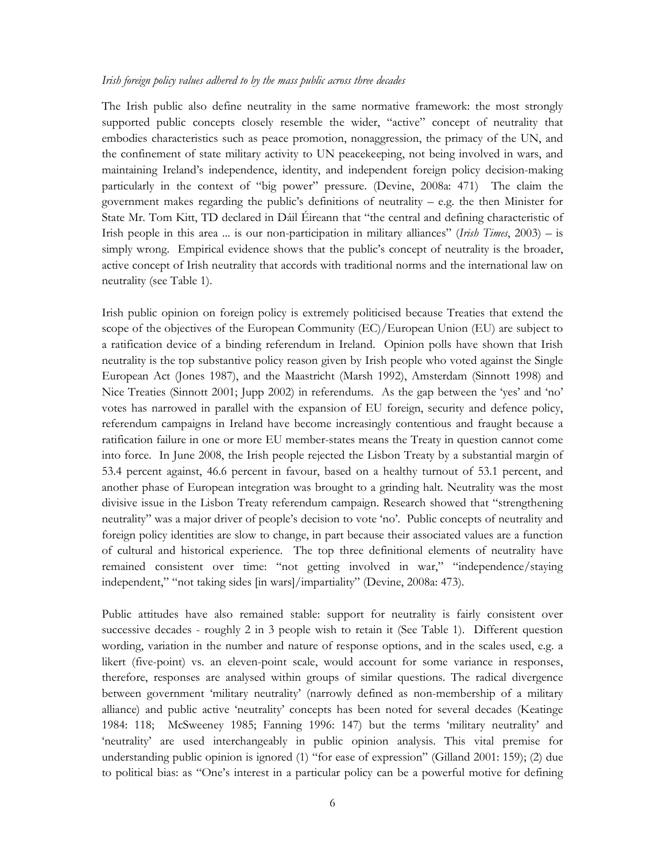#### Irish foreign policy values adhered to by the mass public across three decades

The Irish public also define neutrality in the same normative framework: the most strongly supported public concepts closely resemble the wider, "active" concept of neutrality that embodies characteristics such as peace promotion, nonaggression, the primacy of the UN, and the confinement of state military activity to UN peacekeeping, not being involved in wars, and maintaining Ireland's independence, identity, and independent foreign policy decision-making particularly in the context of "big power" pressure. (Devine, 2008a: 471) The claim the government makes regarding the public's definitions of neutrality  $-$  e.g. the then Minister for State Mr. Tom Kitt, TD declared in Dáil Éireann that "the central and defining characteristic of Irish people in this area ... is our non-participation in military alliances" (*Irish Times*, 2003) – is simply wrong. Empirical evidence shows that the public's concept of neutrality is the broader, active concept of Irish neutrality that accords with traditional norms and the international law on neutrality (see Table 1).

Irish public opinion on foreign policy is extremely politicised because Treaties that extend the scope of the objectives of the European Community (EC)/European Union (EU) are subject to a ratification device of a binding referendum in Ireland. Opinion polls have shown that Irish neutrality is the top substantive policy reason given by Irish people who voted against the Single European Act (Jones 1987), and the Maastricht (Marsh 1992), Amsterdam (Sinnott 1998) and Nice Treaties (Sinnott 2001; Jupp 2002) in referendums. As the gap between the 'yes' and 'no' votes has narrowed in parallel with the expansion of EU foreign, security and defence policy, referendum campaigns in Ireland have become increasingly contentious and fraught because a ratification failure in one or more EU member-states means the Treaty in question cannot come into force. In June 2008, the Irish people rejected the Lisbon Treaty by a substantial margin of 53.4 percent against, 46.6 percent in favour, based on a healthy turnout of 53.1 percent, and another phase of European integration was brought to a grinding halt. Neutrality was the most divisive issue in the Lisbon Treaty referendum campaign. Research showed that "strengthening neutrality" was a major driver of people's decision to vote 'no'. Public concepts of neutrality and foreign policy identities are slow to change, in part because their associated values are a function of cultural and historical experience. The top three definitional elements of neutrality have remained consistent over time: "not getting involved in war," "independence/staying independent," "not taking sides [in wars]/impartiality" (Devine, 2008a: 473).

Public attitudes have also remained stable: support for neutrality is fairly consistent over successive decades - roughly 2 in 3 people wish to retain it (See Table 1). Different question wording, variation in the number and nature of response options, and in the scales used, e.g. a likert (five-point) vs. an eleven-point scale, would account for some variance in responses, therefore, responses are analysed within groups of similar questions. The radical divergence between government 'military neutrality' (narrowly defined as non-membership of a military alliance) and public active 'neutrality' concepts has been noted for several decades (Keatinge 1984: 118; McSweeney 1985; Fanning 1996: 147) but the terms 'military neutrality' and 'neutrality' are used interchangeably in public opinion analysis. This vital premise for understanding public opinion is ignored (1) "for ease of expression" (Gilland 2001: 159); (2) due to political bias: as "One's interest in a particular policy can be a powerful motive for defining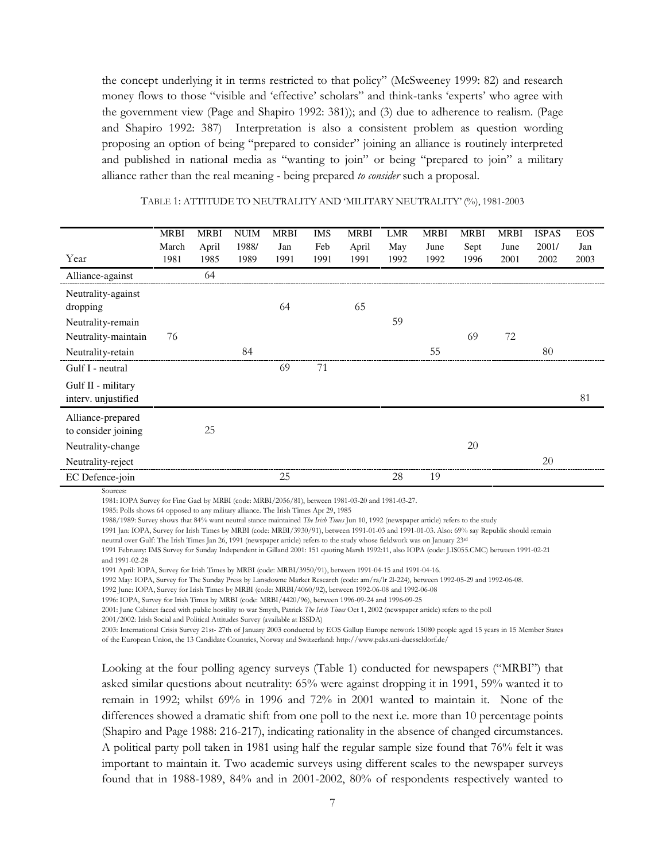the concept underlying it in terms restricted to that policy" (McSweeney 1999: 82) and research money flows to those "visible and 'effective' scholars" and think-tanks 'experts' who agree with the government view (Page and Shapiro 1992: 381)); and (3) due to adherence to realism. (Page and Shapiro 1992: 387) Interpretation is also a consistent problem as question wording proposing an option of being "prepared to consider" joining an alliance is routinely interpreted and published in national media as "wanting to join" or being "prepared to join" a military alliance rather than the real meaning - being prepared to consider such a proposal.

|                     | <b>MRBI</b> | <b>MRBI</b> | <b>NUIM</b> | <b>MRBI</b> | IMS  | MRBI  | LMR  | MRBI | <b>MRBI</b> | <b>MRBI</b> | <b>ISPAS</b> | <b>EOS</b> |
|---------------------|-------------|-------------|-------------|-------------|------|-------|------|------|-------------|-------------|--------------|------------|
|                     | March       | April       | 1988/       | Jan         | Feb  | April | May  | June | Sept        | June        | 2001/        | Jan        |
| Year                | 1981        | 1985        | 1989        | 1991        | 1991 | 1991  | 1992 | 1992 | 1996        | 2001        | 2002         | 2003       |
| Alliance-against    |             | 64          |             |             |      |       |      |      |             |             |              |            |
| Neutrality-against  |             |             |             |             |      |       |      |      |             |             |              |            |
| dropping            |             |             |             | 64          |      | 65    |      |      |             |             |              |            |
| Neutrality-remain   |             |             |             |             |      |       | 59   |      |             |             |              |            |
| Neutrality-maintain | 76          |             |             |             |      |       |      |      | 69          | 72          |              |            |
| Neutrality-retain   |             |             | 84          |             |      |       |      | 55   |             |             | 80           |            |
| Gulf I - neutral    |             |             |             | 69          | 71   |       |      |      |             |             |              |            |
| Gulf II - military  |             |             |             |             |      |       |      |      |             |             |              |            |
| interv. unjustified |             |             |             |             |      |       |      |      |             |             |              | 81         |
| Alliance-prepared   |             |             |             |             |      |       |      |      |             |             |              |            |
| to consider joining |             | 25          |             |             |      |       |      |      |             |             |              |            |
| Neutrality-change   |             |             |             |             |      |       |      |      | 20          |             |              |            |
| Neutrality-reject   |             |             |             |             |      |       |      |      |             |             | 20           |            |
| EC Defence-join     |             |             |             | 25          |      |       | 28   | 19   |             |             |              |            |

# TABLE 1: ATTITUDE TO NEUTRALITY AND 'MILITARY NEUTRALITY' (%), 1981-2003

Sources:

1981: IOPA Survey for Fine Gael by MRBI (code: MRBI/2056/81), between 1981-03-20 and 1981-03-27.

1985: Polls shows 64 opposed to any military alliance. The Irish Times Apr 29, 1985

1988/1989: Survey shows that 84% want neutral stance maintained *The Irish Times* Jun 10, 1992 (newspaper article) refers to the study

1991 Jan: IOPA, Survey for Irish Times by MRBI (code: MRBI/3930/91), between 1991-01-03 and 1991-01-03. Also: 69% say Republic should remain

neutral over Gulf: The Irish Times Jan 26, 1991 (newspaper article) refers to the study whose fieldwork was on January 23rd

1991 February: IMS Survey for Sunday Independent in Gilland 2001: 151 quoting Marsh 1992:11, also IOPA (code: J.IS055.CMC) between 1991-02-21 and 1991-02-28

1991 April: IOPA, Survey for Irish Times by MRBI (code: MRBI/3950/91), between 1991-04-15 and 1991-04-16.

1992 May: IOPA, Survey for The Sunday Press by Lansdowne Market Research (code: am/ra/lr 2l-224), between 1992-05-29 and 1992-06-08.

1992 June: IOPA, Survey for Irish Times by MRBI (code: MRBI/4060/92), between 1992-06-08 and 1992-06-08

1996: IOPA, Survey for Irish Times by MRBI (code: MRBI/4420/96), between 1996-09-24 and 1996-09-25

2001: June Cabinet faced with public hostility to war Smyth, Patrick The Irish Times Oct 1, 2002 (newspaper article) refers to the poll

2001/2002: Irish Social and Political Attitudes Survey (available at ISSDA)

2003: International Crisis Survey 21st- 27th of January 2003 conducted by EOS Gallup Europe network 15080 people aged 15 years in 15 Member States of the European Union, the 13 Candidate Countries, Norway and Switzerland: http://www.paks.uni-duesseldorf.de/

Looking at the four polling agency surveys (Table 1) conducted for newspapers ("MRBI") that asked similar questions about neutrality: 65% were against dropping it in 1991, 59% wanted it to remain in 1992; whilst 69% in 1996 and 72% in 2001 wanted to maintain it. None of the differences showed a dramatic shift from one poll to the next i.e. more than 10 percentage points (Shapiro and Page 1988: 216-217), indicating rationality in the absence of changed circumstances. A political party poll taken in 1981 using half the regular sample size found that 76% felt it was important to maintain it. Two academic surveys using different scales to the newspaper surveys found that in 1988-1989, 84% and in 2001-2002, 80% of respondents respectively wanted to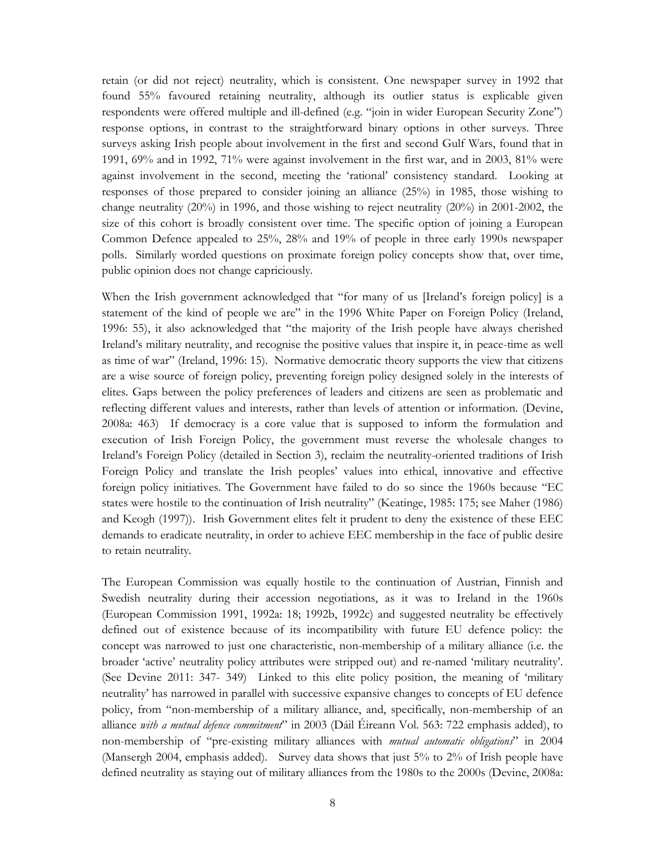retain (or did not reject) neutrality, which is consistent. One newspaper survey in 1992 that found 55% favoured retaining neutrality, although its outlier status is explicable given respondents were offered multiple and ill-defined (e.g. "join in wider European Security Zone") response options, in contrast to the straightforward binary options in other surveys. Three surveys asking Irish people about involvement in the first and second Gulf Wars, found that in 1991, 69% and in 1992, 71% were against involvement in the first war, and in 2003, 81% were against involvement in the second, meeting the 'rational' consistency standard. Looking at responses of those prepared to consider joining an alliance (25%) in 1985, those wishing to change neutrality (20%) in 1996, and those wishing to reject neutrality (20%) in 2001-2002, the size of this cohort is broadly consistent over time. The specific option of joining a European Common Defence appealed to 25%, 28% and 19% of people in three early 1990s newspaper polls. Similarly worded questions on proximate foreign policy concepts show that, over time, public opinion does not change capriciously.

When the Irish government acknowledged that "for many of us [Ireland's foreign policy] is a statement of the kind of people we are" in the 1996 White Paper on Foreign Policy (Ireland, 1996: 55), it also acknowledged that "the majority of the Irish people have always cherished Ireland's military neutrality, and recognise the positive values that inspire it, in peace-time as well as time of war" (Ireland, 1996: 15). Normative democratic theory supports the view that citizens are a wise source of foreign policy, preventing foreign policy designed solely in the interests of elites. Gaps between the policy preferences of leaders and citizens are seen as problematic and reflecting different values and interests, rather than levels of attention or information. (Devine, 2008a: 463) If democracy is a core value that is supposed to inform the formulation and execution of Irish Foreign Policy, the government must reverse the wholesale changes to Ireland's Foreign Policy (detailed in Section 3), reclaim the neutrality-oriented traditions of Irish Foreign Policy and translate the Irish peoples' values into ethical, innovative and effective foreign policy initiatives. The Government have failed to do so since the 1960s because "EC states were hostile to the continuation of Irish neutrality" (Keatinge, 1985: 175; see Maher (1986) and Keogh (1997)). Irish Government elites felt it prudent to deny the existence of these EEC demands to eradicate neutrality, in order to achieve EEC membership in the face of public desire to retain neutrality.

The European Commission was equally hostile to the continuation of Austrian, Finnish and Swedish neutrality during their accession negotiations, as it was to Ireland in the 1960s (European Commission 1991, 1992a: 18; 1992b, 1992c) and suggested neutrality be effectively defined out of existence because of its incompatibility with future EU defence policy: the concept was narrowed to just one characteristic, non-membership of a military alliance (i.e. the broader 'active' neutrality policy attributes were stripped out) and re-named 'military neutrality'. (See Devine 2011: 347- 349) Linked to this elite policy position, the meaning of 'military neutrality' has narrowed in parallel with successive expansive changes to concepts of EU defence policy, from "non-membership of a military alliance, and, specifically, non-membership of an alliance with a mutual defence commitment" in 2003 (Dáil Éireann Vol. 563: 722 emphasis added), to non-membership of "pre-existing military alliances with *mutual automatic obligations*" in 2004 (Mansergh 2004, emphasis added). Survey data shows that just 5% to 2% of Irish people have defined neutrality as staying out of military alliances from the 1980s to the 2000s (Devine, 2008a: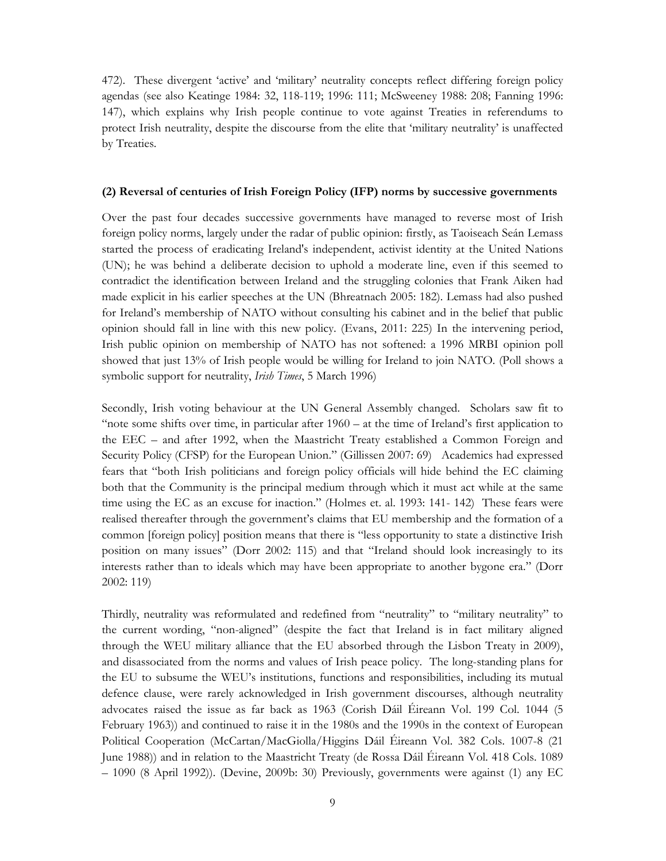472). These divergent 'active' and 'military' neutrality concepts reflect differing foreign policy agendas (see also Keatinge 1984: 32, 118-119; 1996: 111; McSweeney 1988: 208; Fanning 1996: 147), which explains why Irish people continue to vote against Treaties in referendums to protect Irish neutrality, despite the discourse from the elite that 'military neutrality' is unaffected by Treaties.

#### (2) Reversal of centuries of Irish Foreign Policy (IFP) norms by successive governments

Over the past four decades successive governments have managed to reverse most of Irish foreign policy norms, largely under the radar of public opinion: firstly, as Taoiseach Seán Lemass started the process of eradicating Ireland's independent, activist identity at the United Nations (UN); he was behind a deliberate decision to uphold a moderate line, even if this seemed to contradict the identification between Ireland and the struggling colonies that Frank Aiken had made explicit in his earlier speeches at the UN (Bhreatnach 2005: 182). Lemass had also pushed for Ireland's membership of NATO without consulting his cabinet and in the belief that public opinion should fall in line with this new policy. (Evans, 2011: 225) In the intervening period, Irish public opinion on membership of NATO has not softened: a 1996 MRBI opinion poll showed that just 13% of Irish people would be willing for Ireland to join NATO. (Poll shows a symbolic support for neutrality, Irish Times, 5 March 1996)

Secondly, Irish voting behaviour at the UN General Assembly changed. Scholars saw fit to "note some shifts over time, in particular after 1960 – at the time of Ireland's first application to the EEC – and after 1992, when the Maastricht Treaty established a Common Foreign and Security Policy (CFSP) for the European Union." (Gillissen 2007: 69) Academics had expressed fears that "both Irish politicians and foreign policy officials will hide behind the EC claiming both that the Community is the principal medium through which it must act while at the same time using the EC as an excuse for inaction." (Holmes et. al. 1993: 141- 142) These fears were realised thereafter through the government's claims that EU membership and the formation of a common [foreign policy] position means that there is "less opportunity to state a distinctive Irish position on many issues" (Dorr 2002: 115) and that "Ireland should look increasingly to its interests rather than to ideals which may have been appropriate to another bygone era." (Dorr 2002: 119)

Thirdly, neutrality was reformulated and redefined from "neutrality" to "military neutrality" to the current wording, "non-aligned" (despite the fact that Ireland is in fact military aligned through the WEU military alliance that the EU absorbed through the Lisbon Treaty in 2009), and disassociated from the norms and values of Irish peace policy. The long-standing plans for the EU to subsume the WEU's institutions, functions and responsibilities, including its mutual defence clause, were rarely acknowledged in Irish government discourses, although neutrality advocates raised the issue as far back as 1963 (Corish Dáil Éireann Vol. 199 Col. 1044 (5 February 1963)) and continued to raise it in the 1980s and the 1990s in the context of European Political Cooperation (McCartan/MacGiolla/Higgins Dáil Éireann Vol. 382 Cols. 1007-8 (21 June 1988)) and in relation to the Maastricht Treaty (de Rossa Dáil Éireann Vol. 418 Cols. 1089 – 1090 (8 April 1992)). (Devine, 2009b: 30) Previously, governments were against (1) any EC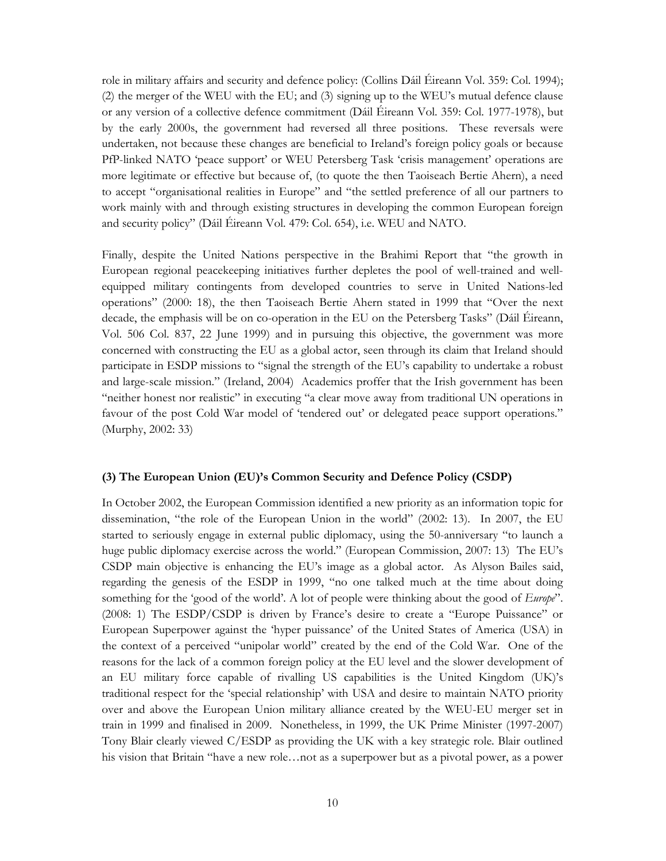role in military affairs and security and defence policy: (Collins Dáil Éireann Vol. 359: Col. 1994); (2) the merger of the WEU with the EU; and (3) signing up to the WEU's mutual defence clause or any version of a collective defence commitment (Dáil Éireann Vol. 359: Col. 1977-1978), but by the early 2000s, the government had reversed all three positions. These reversals were undertaken, not because these changes are beneficial to Ireland's foreign policy goals or because PfP-linked NATO 'peace support' or WEU Petersberg Task 'crisis management' operations are more legitimate or effective but because of, (to quote the then Taoiseach Bertie Ahern), a need to accept "organisational realities in Europe" and "the settled preference of all our partners to work mainly with and through existing structures in developing the common European foreign and security policy" (Dáil Éireann Vol. 479: Col. 654), i.e. WEU and NATO.

Finally, despite the United Nations perspective in the Brahimi Report that "the growth in European regional peacekeeping initiatives further depletes the pool of well-trained and wellequipped military contingents from developed countries to serve in United Nations-led operations" (2000: 18), the then Taoiseach Bertie Ahern stated in 1999 that "Over the next decade, the emphasis will be on co-operation in the EU on the Petersberg Tasks" (Dáil Éireann, Vol. 506 Col. 837, 22 June 1999) and in pursuing this objective, the government was more concerned with constructing the EU as a global actor, seen through its claim that Ireland should participate in ESDP missions to "signal the strength of the EU's capability to undertake a robust and large-scale mission." (Ireland, 2004) Academics proffer that the Irish government has been "neither honest nor realistic" in executing "a clear move away from traditional UN operations in favour of the post Cold War model of 'tendered out' or delegated peace support operations." (Murphy, 2002: 33)

#### (3) The European Union (EU)'s Common Security and Defence Policy (CSDP)

In October 2002, the European Commission identified a new priority as an information topic for dissemination, "the role of the European Union in the world" (2002: 13). In 2007, the EU started to seriously engage in external public diplomacy, using the 50-anniversary "to launch a huge public diplomacy exercise across the world." (European Commission, 2007: 13) The EU's CSDP main objective is enhancing the EU's image as a global actor. As Alyson Bailes said, regarding the genesis of the ESDP in 1999, "no one talked much at the time about doing something for the 'good of the world'. A lot of people were thinking about the good of *Europe*". (2008: 1) The ESDP/CSDP is driven by France's desire to create a "Europe Puissance" or European Superpower against the 'hyper puissance' of the United States of America (USA) in the context of a perceived "unipolar world" created by the end of the Cold War. One of the reasons for the lack of a common foreign policy at the EU level and the slower development of an EU military force capable of rivalling US capabilities is the United Kingdom (UK)'s traditional respect for the 'special relationship' with USA and desire to maintain NATO priority over and above the European Union military alliance created by the WEU-EU merger set in train in 1999 and finalised in 2009. Nonetheless, in 1999, the UK Prime Minister (1997-2007) Tony Blair clearly viewed C/ESDP as providing the UK with a key strategic role. Blair outlined his vision that Britain "have a new role…not as a superpower but as a pivotal power, as a power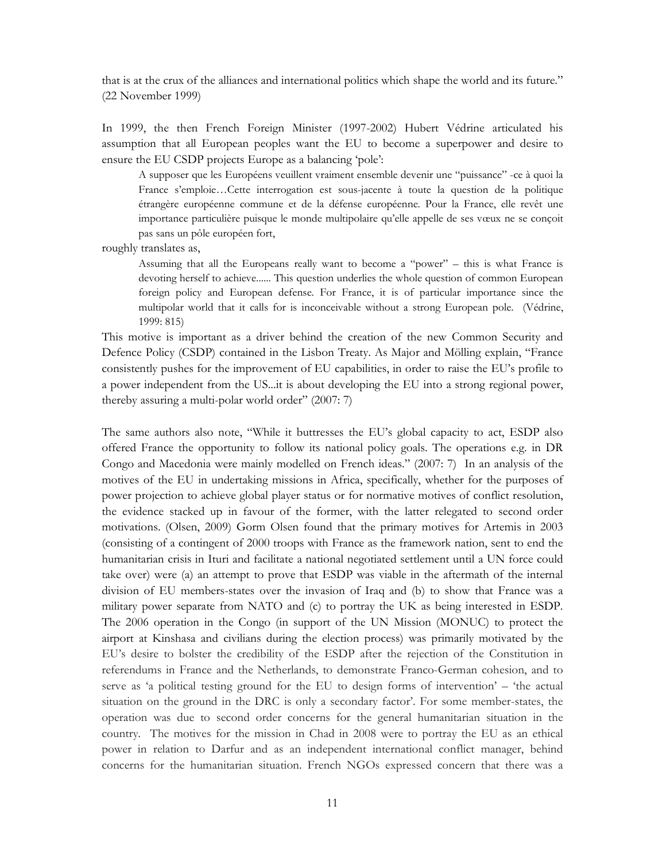that is at the crux of the alliances and international politics which shape the world and its future." (22 November 1999)

In 1999, the then French Foreign Minister (1997-2002) Hubert Védrine articulated his assumption that all European peoples want the EU to become a superpower and desire to ensure the EU CSDP projects Europe as a balancing 'pole':

A supposer que les Européens veuillent vraiment ensemble devenir une "puissance" -ce à quoi la France s'emploie…Cette interrogation est sous-jacente à toute la question de la politique étrangère européenne commune et de la défense européenne. Pour la France, elle revêt une importance particulière puisque le monde multipolaire qu'elle appelle de ses vœux ne se conçoit pas sans un pôle européen fort,

roughly translates as,

Assuming that all the Europeans really want to become a "power" – this is what France is devoting herself to achieve...... This question underlies the whole question of common European foreign policy and European defense. For France, it is of particular importance since the multipolar world that it calls for is inconceivable without a strong European pole. (Védrine, 1999: 815)

This motive is important as a driver behind the creation of the new Common Security and Defence Policy (CSDP) contained in the Lisbon Treaty. As Major and Mölling explain, "France consistently pushes for the improvement of EU capabilities, in order to raise the EU's profile to a power independent from the US...it is about developing the EU into a strong regional power, thereby assuring a multi-polar world order" (2007: 7)

The same authors also note, "While it buttresses the EU's global capacity to act, ESDP also offered France the opportunity to follow its national policy goals. The operations e.g. in DR Congo and Macedonia were mainly modelled on French ideas." (2007: 7) In an analysis of the motives of the EU in undertaking missions in Africa, specifically, whether for the purposes of power projection to achieve global player status or for normative motives of conflict resolution, the evidence stacked up in favour of the former, with the latter relegated to second order motivations. (Olsen, 2009) Gorm Olsen found that the primary motives for Artemis in 2003 (consisting of a contingent of 2000 troops with France as the framework nation, sent to end the humanitarian crisis in Ituri and facilitate a national negotiated settlement until a UN force could take over) were (a) an attempt to prove that ESDP was viable in the aftermath of the internal division of EU members-states over the invasion of Iraq and (b) to show that France was a military power separate from NATO and (c) to portray the UK as being interested in ESDP. The 2006 operation in the Congo (in support of the UN Mission (MONUC) to protect the airport at Kinshasa and civilians during the election process) was primarily motivated by the EU's desire to bolster the credibility of the ESDP after the rejection of the Constitution in referendums in France and the Netherlands, to demonstrate Franco-German cohesion, and to serve as 'a political testing ground for the EU to design forms of intervention' – 'the actual situation on the ground in the DRC is only a secondary factor'. For some member-states, the operation was due to second order concerns for the general humanitarian situation in the country. The motives for the mission in Chad in 2008 were to portray the EU as an ethical power in relation to Darfur and as an independent international conflict manager, behind concerns for the humanitarian situation. French NGOs expressed concern that there was a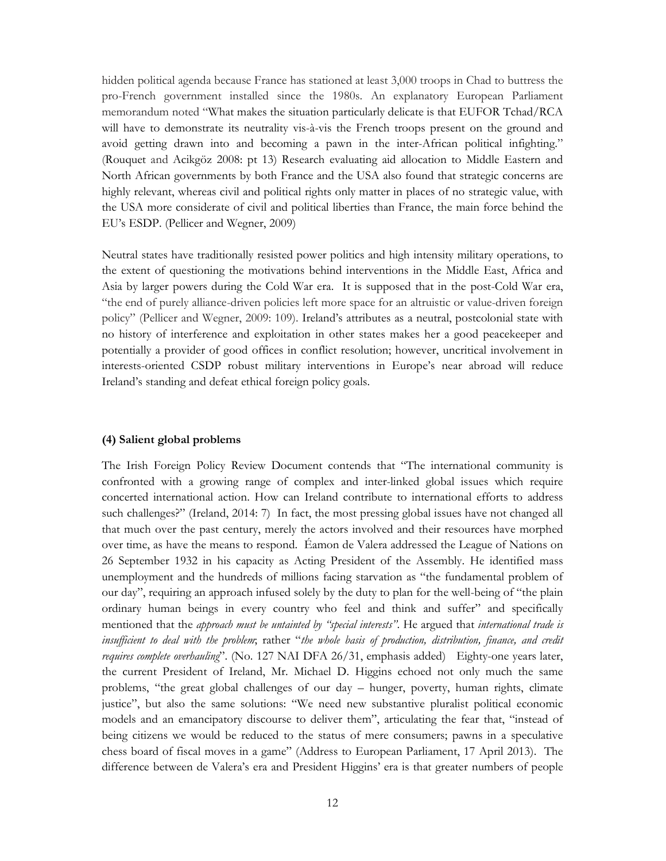hidden political agenda because France has stationed at least 3,000 troops in Chad to buttress the pro-French government installed since the 1980s. An explanatory European Parliament memorandum noted "What makes the situation particularly delicate is that EUFOR Tchad/RCA will have to demonstrate its neutrality vis-à-vis the French troops present on the ground and avoid getting drawn into and becoming a pawn in the inter-African political infighting." (Rouquet and Acikgöz 2008: pt 13) Research evaluating aid allocation to Middle Eastern and North African governments by both France and the USA also found that strategic concerns are highly relevant, whereas civil and political rights only matter in places of no strategic value, with the USA more considerate of civil and political liberties than France, the main force behind the EU's ESDP. (Pellicer and Wegner, 2009)

Neutral states have traditionally resisted power politics and high intensity military operations, to the extent of questioning the motivations behind interventions in the Middle East, Africa and Asia by larger powers during the Cold War era. It is supposed that in the post-Cold War era, "the end of purely alliance-driven policies left more space for an altruistic or value-driven foreign policy" (Pellicer and Wegner, 2009: 109). Ireland's attributes as a neutral, postcolonial state with no history of interference and exploitation in other states makes her a good peacekeeper and potentially a provider of good offices in conflict resolution; however, uncritical involvement in interests-oriented CSDP robust military interventions in Europe's near abroad will reduce Ireland's standing and defeat ethical foreign policy goals.

#### (4) Salient global problems

The Irish Foreign Policy Review Document contends that "The international community is confronted with a growing range of complex and inter-linked global issues which require concerted international action. How can Ireland contribute to international efforts to address such challenges?" (Ireland, 2014: 7) In fact, the most pressing global issues have not changed all that much over the past century, merely the actors involved and their resources have morphed over time, as have the means to respond. Éamon de Valera addressed the League of Nations on 26 September 1932 in his capacity as Acting President of the Assembly. He identified mass unemployment and the hundreds of millions facing starvation as "the fundamental problem of our day", requiring an approach infused solely by the duty to plan for the well-being of "the plain ordinary human beings in every country who feel and think and suffer" and specifically mentioned that the approach must be untainted by "special interests". He argued that international trade is insufficient to deal with the problem; rather "the whole basis of production, distribution, finance, and credit requires complete overhauling". (No. 127 NAI DFA 26/31, emphasis added) Eighty-one years later, the current President of Ireland, Mr. Michael D. Higgins echoed not only much the same problems, "the great global challenges of our day – hunger, poverty, human rights, climate justice", but also the same solutions: "We need new substantive pluralist political economic models and an emancipatory discourse to deliver them", articulating the fear that, "instead of being citizens we would be reduced to the status of mere consumers; pawns in a speculative chess board of fiscal moves in a game" (Address to European Parliament, 17 April 2013). The difference between de Valera's era and President Higgins' era is that greater numbers of people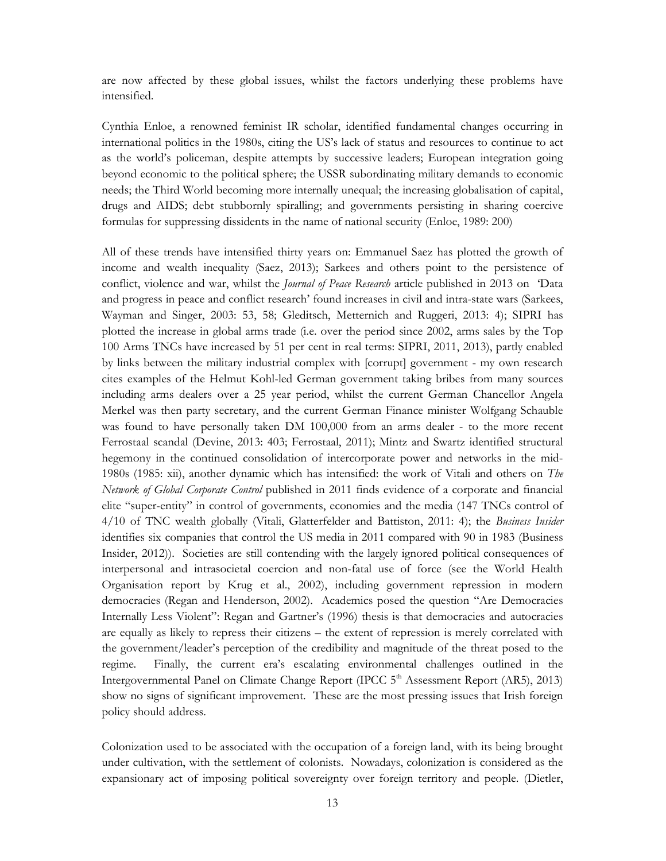are now affected by these global issues, whilst the factors underlying these problems have intensified.

Cynthia Enloe, a renowned feminist IR scholar, identified fundamental changes occurring in international politics in the 1980s, citing the US's lack of status and resources to continue to act as the world's policeman, despite attempts by successive leaders; European integration going beyond economic to the political sphere; the USSR subordinating military demands to economic needs; the Third World becoming more internally unequal; the increasing globalisation of capital, drugs and AIDS; debt stubbornly spiralling; and governments persisting in sharing coercive formulas for suppressing dissidents in the name of national security (Enloe, 1989: 200)

All of these trends have intensified thirty years on: Emmanuel Saez has plotted the growth of income and wealth inequality (Saez, 2013); Sarkees and others point to the persistence of conflict, violence and war, whilst the *Journal of Peace Research* article published in 2013 on 'Data and progress in peace and conflict research' found increases in civil and intra-state wars (Sarkees, Wayman and Singer, 2003: 53, 58; Gleditsch, Metternich and Ruggeri, 2013: 4); SIPRI has plotted the increase in global arms trade (i.e. over the period since 2002, arms sales by the Top 100 Arms TNCs have increased by 51 per cent in real terms: SIPRI, 2011, 2013), partly enabled by links between the military industrial complex with [corrupt] government - my own research cites examples of the Helmut Kohl-led German government taking bribes from many sources including arms dealers over a 25 year period, whilst the current German Chancellor Angela Merkel was then party secretary, and the current German Finance minister Wolfgang Schauble was found to have personally taken DM 100,000 from an arms dealer - to the more recent Ferrostaal scandal (Devine, 2013: 403; Ferrostaal, 2011); Mintz and Swartz identified structural hegemony in the continued consolidation of intercorporate power and networks in the mid-1980s (1985: xii), another dynamic which has intensified: the work of Vitali and others on The Network of Global Corporate Control published in 2011 finds evidence of a corporate and financial elite "super-entity" in control of governments, economies and the media (147 TNCs control of 4/10 of TNC wealth globally (Vitali, Glatterfelder and Battiston, 2011: 4); the Business Insider identifies six companies that control the US media in 2011 compared with 90 in 1983 (Business Insider, 2012)). Societies are still contending with the largely ignored political consequences of interpersonal and intrasocietal coercion and non-fatal use of force (see the World Health Organisation report by Krug et al., 2002), including government repression in modern democracies (Regan and Henderson, 2002). Academics posed the question "Are Democracies Internally Less Violent": Regan and Gartner's (1996) thesis is that democracies and autocracies are equally as likely to repress their citizens – the extent of repression is merely correlated with the government/leader's perception of the credibility and magnitude of the threat posed to the regime. Finally, the current era's escalating environmental challenges outlined in the Intergovernmental Panel on Climate Change Report (IPCC 5<sup>th</sup> Assessment Report (AR5), 2013) show no signs of significant improvement. These are the most pressing issues that Irish foreign policy should address.

Colonization used to be associated with the occupation of a foreign land, with its being brought under cultivation, with the settlement of colonists. Nowadays, colonization is considered as the expansionary act of imposing political sovereignty over foreign territory and people. (Dietler,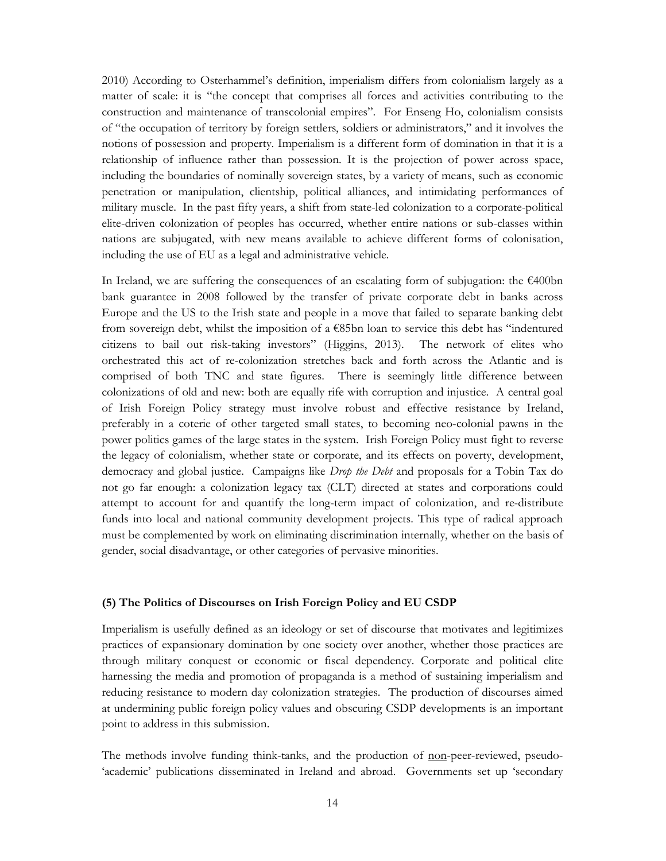2010) According to Osterhammel's definition, imperialism differs from colonialism largely as a matter of scale: it is "the concept that comprises all forces and activities contributing to the construction and maintenance of transcolonial empires". For Enseng Ho, colonialism consists of "the occupation of territory by foreign settlers, soldiers or administrators," and it involves the notions of possession and property. Imperialism is a different form of domination in that it is a relationship of influence rather than possession. It is the projection of power across space, including the boundaries of nominally sovereign states, by a variety of means, such as economic penetration or manipulation, clientship, political alliances, and intimidating performances of military muscle. In the past fifty years, a shift from state-led colonization to a corporate-political elite-driven colonization of peoples has occurred, whether entire nations or sub-classes within nations are subjugated, with new means available to achieve different forms of colonisation, including the use of EU as a legal and administrative vehicle.

In Ireland, we are suffering the consequences of an escalating form of subjugation: the  $\epsilon$ 400bn bank guarantee in 2008 followed by the transfer of private corporate debt in banks across Europe and the US to the Irish state and people in a move that failed to separate banking debt from sovereign debt, whilst the imposition of a €85bn loan to service this debt has "indentured citizens to bail out risk-taking investors" (Higgins, 2013). The network of elites who orchestrated this act of re-colonization stretches back and forth across the Atlantic and is comprised of both TNC and state figures. There is seemingly little difference between colonizations of old and new: both are equally rife with corruption and injustice. A central goal of Irish Foreign Policy strategy must involve robust and effective resistance by Ireland, preferably in a coterie of other targeted small states, to becoming neo-colonial pawns in the power politics games of the large states in the system. Irish Foreign Policy must fight to reverse the legacy of colonialism, whether state or corporate, and its effects on poverty, development, democracy and global justice. Campaigns like *Drop the Debt* and proposals for a Tobin Tax do not go far enough: a colonization legacy tax (CLT) directed at states and corporations could attempt to account for and quantify the long-term impact of colonization, and re-distribute funds into local and national community development projects. This type of radical approach must be complemented by work on eliminating discrimination internally, whether on the basis of gender, social disadvantage, or other categories of pervasive minorities.

### (5) The Politics of Discourses on Irish Foreign Policy and EU CSDP

Imperialism is usefully defined as an ideology or set of discourse that motivates and legitimizes practices of expansionary domination by one society over another, whether those practices are through military conquest or economic or fiscal dependency. Corporate and political elite harnessing the media and promotion of propaganda is a method of sustaining imperialism and reducing resistance to modern day colonization strategies. The production of discourses aimed at undermining public foreign policy values and obscuring CSDP developments is an important point to address in this submission.

The methods involve funding think-tanks, and the production of non-peer-reviewed, pseudo- 'academic' publications disseminated in Ireland and abroad. Governments set up 'secondary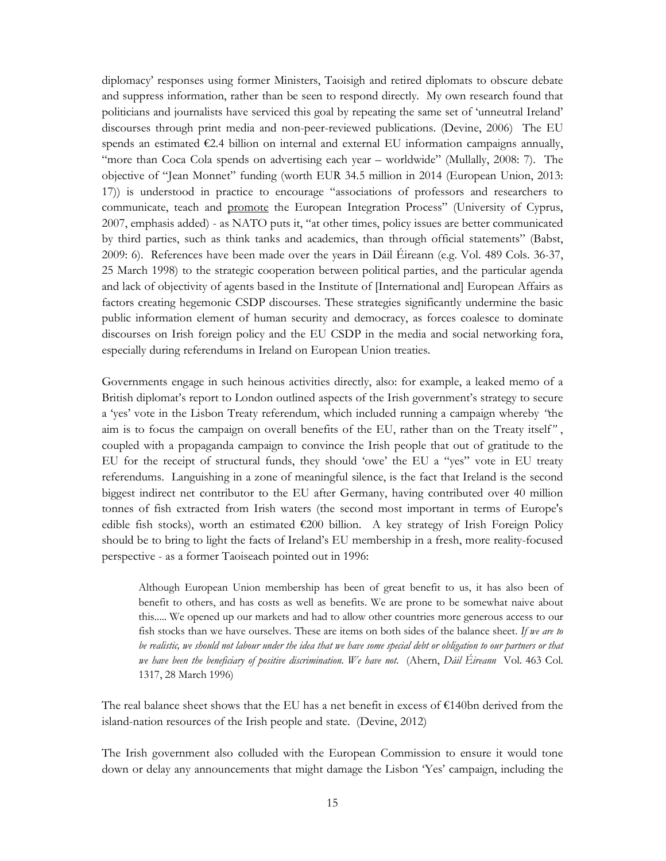diplomacy' responses using former Ministers, Taoisigh and retired diplomats to obscure debate and suppress information, rather than be seen to respond directly. My own research found that politicians and journalists have serviced this goal by repeating the same set of 'unneutral Ireland' discourses through print media and non-peer-reviewed publications. (Devine, 2006) The EU spends an estimated  $E2.4$  billion on internal and external EU information campaigns annually, "more than Coca Cola spends on advertising each year – worldwide" (Mullally, 2008: 7). The objective of "Jean Monnet" funding (worth EUR 34.5 million in 2014 (European Union, 2013: 17)) is understood in practice to encourage "associations of professors and researchers to communicate, teach and promote the European Integration Process" (University of Cyprus, 2007, emphasis added) - as NATO puts it, "at other times, policy issues are better communicated by third parties, such as think tanks and academics, than through official statements" (Babst, 2009: 6). References have been made over the years in Dáil Éireann (e.g. Vol. 489 Cols. 36-37, 25 March 1998) to the strategic cooperation between political parties, and the particular agenda and lack of objectivity of agents based in the Institute of [International and] European Affairs as factors creating hegemonic CSDP discourses. These strategies significantly undermine the basic public information element of human security and democracy, as forces coalesce to dominate discourses on Irish foreign policy and the EU CSDP in the media and social networking fora, especially during referendums in Ireland on European Union treaties.

Governments engage in such heinous activities directly, also: for example, a leaked memo of a British diplomat's report to London outlined aspects of the Irish government's strategy to secure a 'yes' vote in the Lisbon Treaty referendum, which included running a campaign whereby "the aim is to focus the campaign on overall benefits of the EU, rather than on the Treaty itself" , coupled with a propaganda campaign to convince the Irish people that out of gratitude to the EU for the receipt of structural funds, they should 'owe' the EU a "yes" vote in EU treaty referendums. Languishing in a zone of meaningful silence, is the fact that Ireland is the second biggest indirect net contributor to the EU after Germany, having contributed over 40 million tonnes of fish extracted from Irish waters (the second most important in terms of Europe's edible fish stocks), worth an estimated  $\epsilon$ 200 billion. A key strategy of Irish Foreign Policy should be to bring to light the facts of Ireland's EU membership in a fresh, more reality-focused perspective - as a former Taoiseach pointed out in 1996:

Although European Union membership has been of great benefit to us, it has also been of benefit to others, and has costs as well as benefits. We are prone to be somewhat naive about this..... We opened up our markets and had to allow other countries more generous access to our fish stocks than we have ourselves. These are items on both sides of the balance sheet. If we are to be realistic, we should not labour under the idea that we have some special debt or obligation to our partners or that we have been the beneficiary of positive discrimination. We have not. (Ahern, Dáil Éireann Vol. 463 Col. 1317, 28 March 1996)

The real balance sheet shows that the EU has a net benefit in excess of  $\epsilon$ 140bn derived from the island-nation resources of the Irish people and state. (Devine, 2012)

The Irish government also colluded with the European Commission to ensure it would tone down or delay any announcements that might damage the Lisbon 'Yes' campaign, including the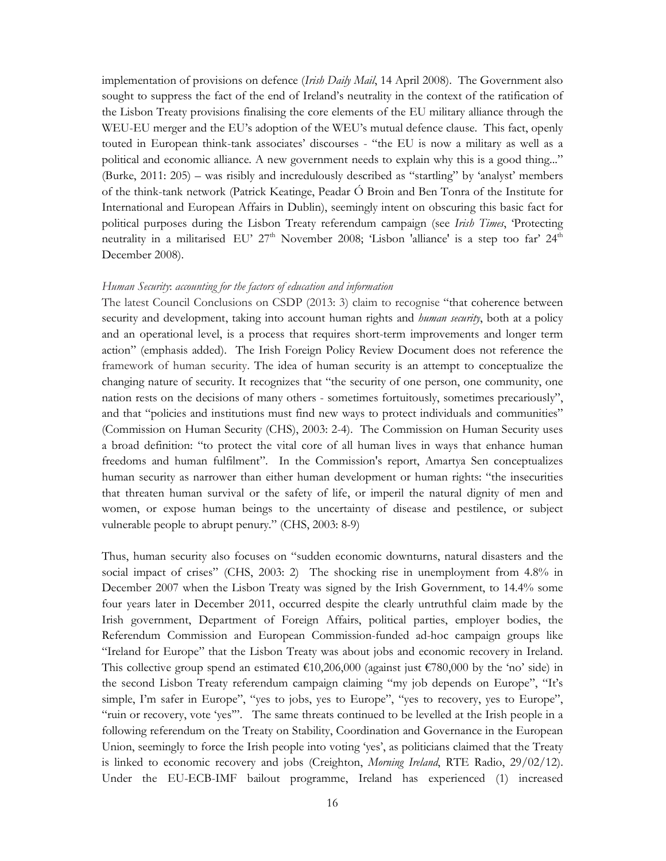implementation of provisions on defence (*Irish Daily Mail*, 14 April 2008). The Government also sought to suppress the fact of the end of Ireland's neutrality in the context of the ratification of the Lisbon Treaty provisions finalising the core elements of the EU military alliance through the WEU-EU merger and the EU's adoption of the WEU's mutual defence clause. This fact, openly touted in European think-tank associates' discourses - "the EU is now a military as well as a political and economic alliance. A new government needs to explain why this is a good thing..." (Burke, 2011: 205) – was risibly and incredulously described as "startling" by 'analyst' members of the think-tank network (Patrick Keatinge, Peadar Ó Broin and Ben Tonra of the Institute for International and European Affairs in Dublin), seemingly intent on obscuring this basic fact for political purposes during the Lisbon Treaty referendum campaign (see *Irish Times*, 'Protecting neutrality in a militarised EU' 27<sup>th</sup> November 2008; 'Lisbon 'alliance' is a step too far' 24<sup>th</sup> December 2008).

#### Human Security: accounting for the factors of education and information

The latest Council Conclusions on CSDP (2013: 3) claim to recognise "that coherence between security and development, taking into account human rights and *human security*, both at a policy and an operational level, is a process that requires short-term improvements and longer term action" (emphasis added). The Irish Foreign Policy Review Document does not reference the framework of human security. The idea of human security is an attempt to conceptualize the changing nature of security. It recognizes that "the security of one person, one community, one nation rests on the decisions of many others - sometimes fortuitously, sometimes precariously", and that "policies and institutions must find new ways to protect individuals and communities" (Commission on Human Security (CHS), 2003: 2-4). The Commission on Human Security uses a broad definition: "to protect the vital core of all human lives in ways that enhance human freedoms and human fulfilment". In the Commission's report, Amartya Sen conceptualizes human security as narrower than either human development or human rights: "the insecurities that threaten human survival or the safety of life, or imperil the natural dignity of men and women, or expose human beings to the uncertainty of disease and pestilence, or subject vulnerable people to abrupt penury." (CHS, 2003: 8-9)

Thus, human security also focuses on "sudden economic downturns, natural disasters and the social impact of crises" (CHS, 2003: 2) The shocking rise in unemployment from 4.8% in December 2007 when the Lisbon Treaty was signed by the Irish Government, to 14.4% some four years later in December 2011, occurred despite the clearly untruthful claim made by the Irish government, Department of Foreign Affairs, political parties, employer bodies, the Referendum Commission and European Commission-funded ad-hoc campaign groups like "Ireland for Europe" that the Lisbon Treaty was about jobs and economic recovery in Ireland. This collective group spend an estimated  $\epsilon$ 10,206,000 (against just  $\epsilon$ 780,000 by the 'no' side) in the second Lisbon Treaty referendum campaign claiming "my job depends on Europe", "It's simple, I'm safer in Europe", "yes to jobs, yes to Europe", "yes to recovery, yes to Europe", "ruin or recovery, vote 'yes'". The same threats continued to be levelled at the Irish people in a following referendum on the Treaty on Stability, Coordination and Governance in the European Union, seemingly to force the Irish people into voting 'yes', as politicians claimed that the Treaty is linked to economic recovery and jobs (Creighton, Morning Ireland, RTE Radio, 29/02/12). Under the EU-ECB-IMF bailout programme, Ireland has experienced (1) increased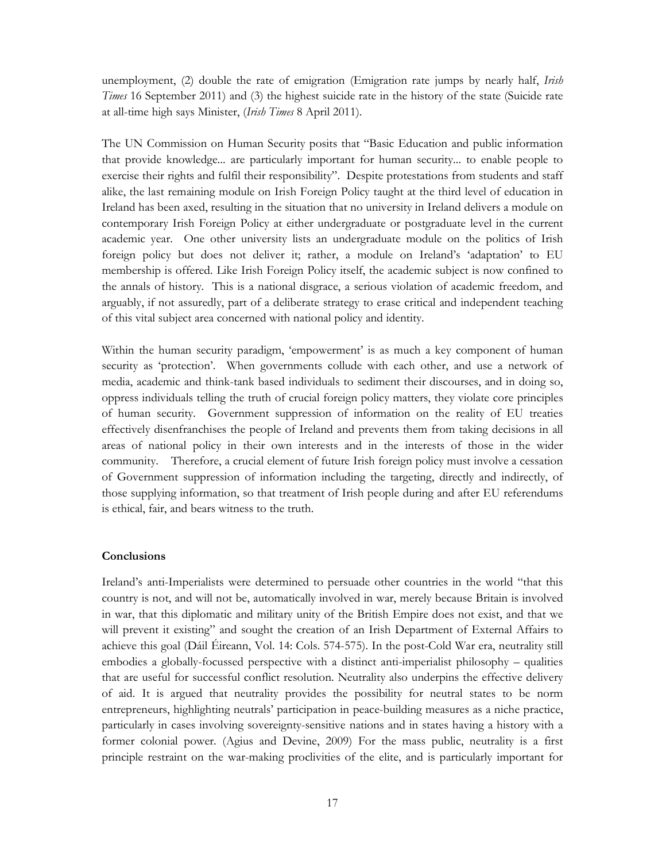unemployment, (2) double the rate of emigration (Emigration rate jumps by nearly half, *Irish* Times 16 September 2011) and (3) the highest suicide rate in the history of the state (Suicide rate at all-time high says Minister, (Irish Times 8 April 2011).

The UN Commission on Human Security posits that "Basic Education and public information that provide knowledge... are particularly important for human security... to enable people to exercise their rights and fulfil their responsibility". Despite protestations from students and staff alike, the last remaining module on Irish Foreign Policy taught at the third level of education in Ireland has been axed, resulting in the situation that no university in Ireland delivers a module on contemporary Irish Foreign Policy at either undergraduate or postgraduate level in the current academic year. One other university lists an undergraduate module on the politics of Irish foreign policy but does not deliver it; rather, a module on Ireland's 'adaptation' to EU membership is offered. Like Irish Foreign Policy itself, the academic subject is now confined to the annals of history. This is a national disgrace, a serious violation of academic freedom, and arguably, if not assuredly, part of a deliberate strategy to erase critical and independent teaching of this vital subject area concerned with national policy and identity.

Within the human security paradigm, 'empowerment' is as much a key component of human security as 'protection'. When governments collude with each other, and use a network of media, academic and think-tank based individuals to sediment their discourses, and in doing so, oppress individuals telling the truth of crucial foreign policy matters, they violate core principles of human security. Government suppression of information on the reality of EU treaties effectively disenfranchises the people of Ireland and prevents them from taking decisions in all areas of national policy in their own interests and in the interests of those in the wider community. Therefore, a crucial element of future Irish foreign policy must involve a cessation of Government suppression of information including the targeting, directly and indirectly, of those supplying information, so that treatment of Irish people during and after EU referendums is ethical, fair, and bears witness to the truth.

# **Conclusions**

Ireland's anti-Imperialists were determined to persuade other countries in the world "that this country is not, and will not be, automatically involved in war, merely because Britain is involved in war, that this diplomatic and military unity of the British Empire does not exist, and that we will prevent it existing" and sought the creation of an Irish Department of External Affairs to achieve this goal (Dáil Éireann, Vol. 14: Cols. 574-575). In the post-Cold War era, neutrality still embodies a globally-focussed perspective with a distinct anti-imperialist philosophy – qualities that are useful for successful conflict resolution. Neutrality also underpins the effective delivery of aid. It is argued that neutrality provides the possibility for neutral states to be norm entrepreneurs, highlighting neutrals' participation in peace-building measures as a niche practice, particularly in cases involving sovereignty-sensitive nations and in states having a history with a former colonial power. (Agius and Devine, 2009) For the mass public, neutrality is a first principle restraint on the war-making proclivities of the elite, and is particularly important for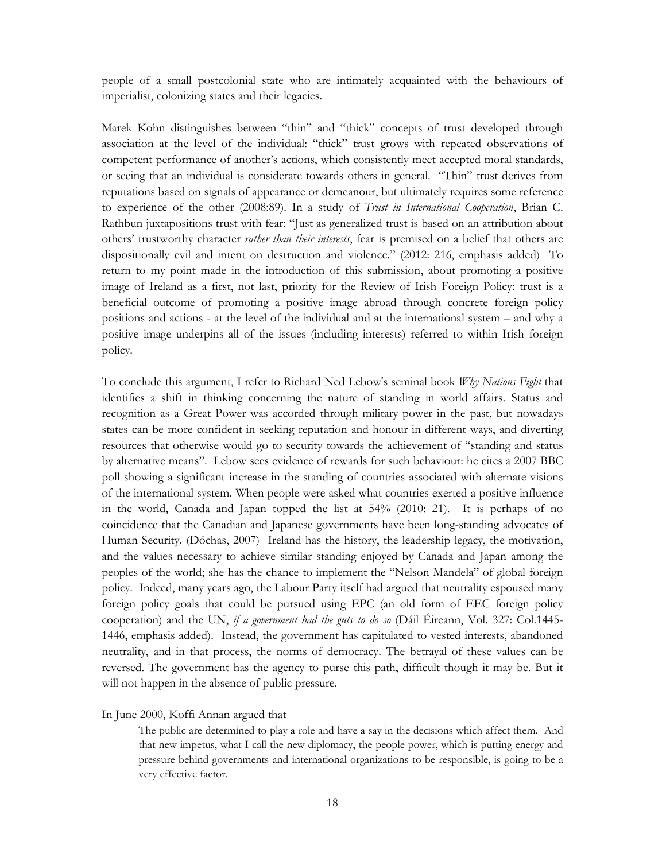people of a small postcolonial state who are intimately acquainted with the behaviours of imperialist, colonizing states and their legacies.

Marek Kohn distinguishes between "thin" and "thick" concepts of trust developed through association at the level of the individual: "thick" trust grows with repeated observations of competent performance of another's actions, which consistently meet accepted moral standards, or seeing that an individual is considerate towards others in general. "Thin" trust derives from reputations based on signals of appearance or demeanour, but ultimately requires some reference to experience of the other (2008:89). In a study of Trust in International Cooperation, Brian C. Rathbun juxtapositions trust with fear: "Just as generalized trust is based on an attribution about others' trustworthy character *rather than their interests*, fear is premised on a belief that others are dispositionally evil and intent on destruction and violence." (2012: 216, emphasis added) To return to my point made in the introduction of this submission, about promoting a positive image of Ireland as a first, not last, priority for the Review of Irish Foreign Policy: trust is a beneficial outcome of promoting a positive image abroad through concrete foreign policy positions and actions - at the level of the individual and at the international system – and why a positive image underpins all of the issues (including interests) referred to within Irish foreign policy.

To conclude this argument, I refer to Richard Ned Lebow's seminal book Why Nations Fight that identifies a shift in thinking concerning the nature of standing in world affairs. Status and recognition as a Great Power was accorded through military power in the past, but nowadays states can be more confident in seeking reputation and honour in different ways, and diverting resources that otherwise would go to security towards the achievement of "standing and status by alternative means". Lebow sees evidence of rewards for such behaviour: he cites a 2007 BBC poll showing a significant increase in the standing of countries associated with alternate visions of the international system. When people were asked what countries exerted a positive influence in the world, Canada and Japan topped the list at 54% (2010: 21). It is perhaps of no coincidence that the Canadian and Japanese governments have been long-standing advocates of Human Security. (Dóchas, 2007) Ireland has the history, the leadership legacy, the motivation, and the values necessary to achieve similar standing enjoyed by Canada and Japan among the peoples of the world; she has the chance to implement the "Nelson Mandela" of global foreign policy. Indeed, many years ago, the Labour Party itself had argued that neutrality espoused many foreign policy goals that could be pursued using EPC (an old form of EEC foreign policy cooperation) and the UN, if a government had the guts to do so (Dáil Éireann, Vol. 327: Col.1445-1446, emphasis added). Instead, the government has capitulated to vested interests, abandoned neutrality, and in that process, the norms of democracy. The betrayal of these values can be reversed. The government has the agency to purse this path, difficult though it may be. But it will not happen in the absence of public pressure.

#### In June 2000, Koffi Annan argued that

The public are determined to play a role and have a say in the decisions which affect them. And that new impetus, what I call the new diplomacy, the people power, which is putting energy and pressure behind governments and international organizations to be responsible, is going to be a very effective factor.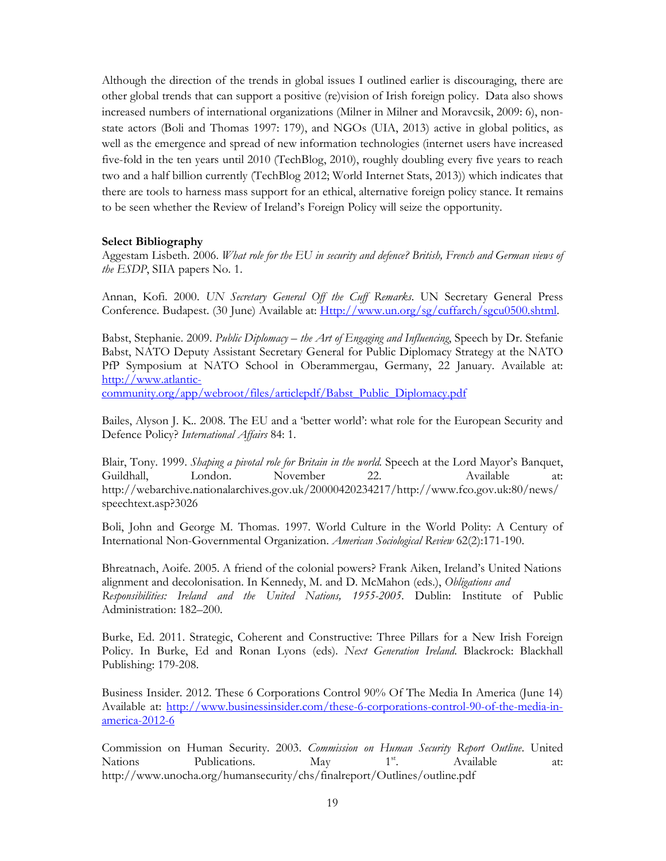Although the direction of the trends in global issues I outlined earlier is discouraging, there are other global trends that can support a positive (re)vision of Irish foreign policy. Data also shows increased numbers of international organizations (Milner in Milner and Moravcsik, 2009: 6), nonstate actors (Boli and Thomas 1997: 179), and NGOs (UIA, 2013) active in global politics, as well as the emergence and spread of new information technologies (internet users have increased five-fold in the ten years until 2010 (TechBlog, 2010), roughly doubling every five years to reach two and a half billion currently (TechBlog 2012; World Internet Stats, 2013)) which indicates that there are tools to harness mass support for an ethical, alternative foreign policy stance. It remains to be seen whether the Review of Ireland's Foreign Policy will seize the opportunity.

# Select Bibliography

Aggestam Lisbeth. 2006. What role for the EU in security and defence? British, French and German views of the ESDP, SIIA papers No. 1.

Annan, Kofi. 2000. UN Secretary General Off the Cuff Remarks. UN Secretary General Press Conference. Budapest. (30 June) Available at: Http://www.un.org/sg/cuffarch/sgcu0500.shtml.

Babst, Stephanie. 2009. Public Diplomacy – the Art of Engaging and Influencing, Speech by Dr. Stefanie Babst, NATO Deputy Assistant Secretary General for Public Diplomacy Strategy at the NATO PfP Symposium at NATO School in Oberammergau, Germany, 22 January. Available at: http://www.atlantic-

community.org/app/webroot/files/articlepdf/Babst\_Public\_Diplomacy.pdf

Bailes, Alyson J. K.. 2008. The EU and a 'better world': what role for the European Security and Defence Policy? International Affairs 84: 1.

Blair, Tony. 1999. *Shaping a pivotal role for Britain in the world*. Speech at the Lord Mayor's Banquet, Guildhall, London. November 22. Available at: http://webarchive.nationalarchives.gov.uk/20000420234217/http://www.fco.gov.uk:80/news/ speechtext.asp?3026

Boli, John and George M. Thomas. 1997. World Culture in the World Polity: A Century of International Non-Governmental Organization. American Sociological Review 62(2):171-190.

Bhreatnach, Aoife. 2005. A friend of the colonial powers? Frank Aiken, Ireland's United Nations alignment and decolonisation. In Kennedy, M. and D. McMahon (eds.), Obligations and Responsibilities: Ireland and the United Nations, 1955-2005. Dublin: Institute of Public Administration: 182–200.

Burke, Ed. 2011. Strategic, Coherent and Constructive: Three Pillars for a New Irish Foreign Policy. In Burke, Ed and Ronan Lyons (eds). Next Generation Ireland. Blackrock: Blackhall Publishing: 179-208.

Business Insider. 2012. These 6 Corporations Control 90% Of The Media In America (June 14) Available at: http://www.businessinsider.com/these-6-corporations-control-90-of-the-media-inamerica-2012-6

Commission on Human Security. 2003. Commission on Human Security Report Outline. United Nations Publications. May  $1^{st}$  Available at: http://www.unocha.org/humansecurity/chs/finalreport/Outlines/outline.pdf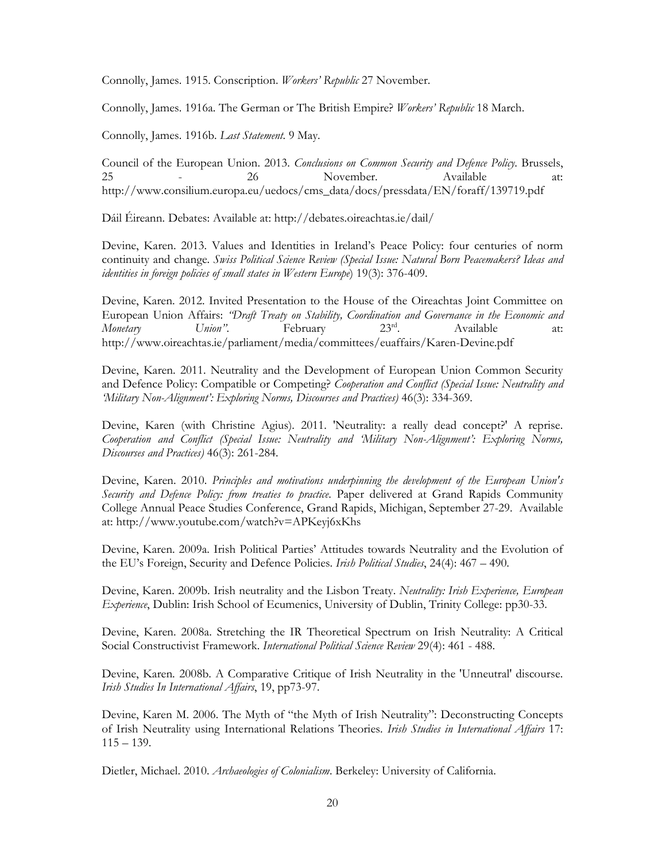Connolly, James. 1915. Conscription. Workers' Republic 27 November.

Connolly, James. 1916a. The German or The British Empire? Workers' Republic 18 March.

Connolly, James. 1916b. Last Statement. 9 May.

Council of the European Union. 2013. Conclusions on Common Security and Defence Policy. Brussels, 25 - 26 November. Available http://www.consilium.europa.eu/uedocs/cms\_data/docs/pressdata/EN/foraff/139719.pdf

Dáil Éireann. Debates: Available at: http://debates.oireachtas.ie/dail/

Devine, Karen. 2013. Values and Identities in Ireland's Peace Policy: four centuries of norm continuity and change. Swiss Political Science Review (Special Issue: Natural Born Peacemakers? Ideas and identities in foreign policies of small states in Western Europe) 19(3): 376-409.

Devine, Karen. 2012. Invited Presentation to the House of the Oireachtas Joint Committee on European Union Affairs: "Draft Treaty on Stability, Coordination and Governance in the Economic and Monetary Union". February 23<sup>rd</sup>. Available at: http://www.oireachtas.ie/parliament/media/committees/euaffairs/Karen-Devine.pdf

Devine, Karen. 2011. Neutrality and the Development of European Union Common Security and Defence Policy: Compatible or Competing? Cooperation and Conflict (Special Issue: Neutrality and 'Military Non-Alignment': Exploring Norms, Discourses and Practices) 46(3): 334-369.

Devine, Karen (with Christine Agius). 2011. 'Neutrality: a really dead concept?' A reprise. Cooperation and Conflict (Special Issue: Neutrality and 'Military Non-Alignment': Exploring Norms, Discourses and Practices) 46(3): 261-284.

Devine, Karen. 2010. Principles and motivations underpinning the development of the European Union's Security and Defence Policy: from treaties to practice. Paper delivered at Grand Rapids Community College Annual Peace Studies Conference, Grand Rapids, Michigan, September 27-29. Available at: http://www.youtube.com/watch?v=APKeyj6xKhs

Devine, Karen. 2009a. Irish Political Parties' Attitudes towards Neutrality and the Evolution of the EU's Foreign, Security and Defence Policies. *Irish Political Studies*, 24(4): 467 – 490.

Devine, Karen. 2009b. Irish neutrality and the Lisbon Treaty. Neutrality: Irish Experience, European Experience, Dublin: Irish School of Ecumenics, University of Dublin, Trinity College: pp30-33.

Devine, Karen. 2008a. Stretching the IR Theoretical Spectrum on Irish Neutrality: A Critical Social Constructivist Framework. International Political Science Review 29(4): 461 - 488.

Devine, Karen. 2008b. A Comparative Critique of Irish Neutrality in the 'Unneutral' discourse. Irish Studies In International Affairs, 19, pp73-97.

Devine, Karen M. 2006. The Myth of "the Myth of Irish Neutrality": Deconstructing Concepts of Irish Neutrality using International Relations Theories. Irish Studies in International Affairs 17:  $115 - 139.$ 

Dietler, Michael. 2010. Archaeologies of Colonialism. Berkeley: University of California.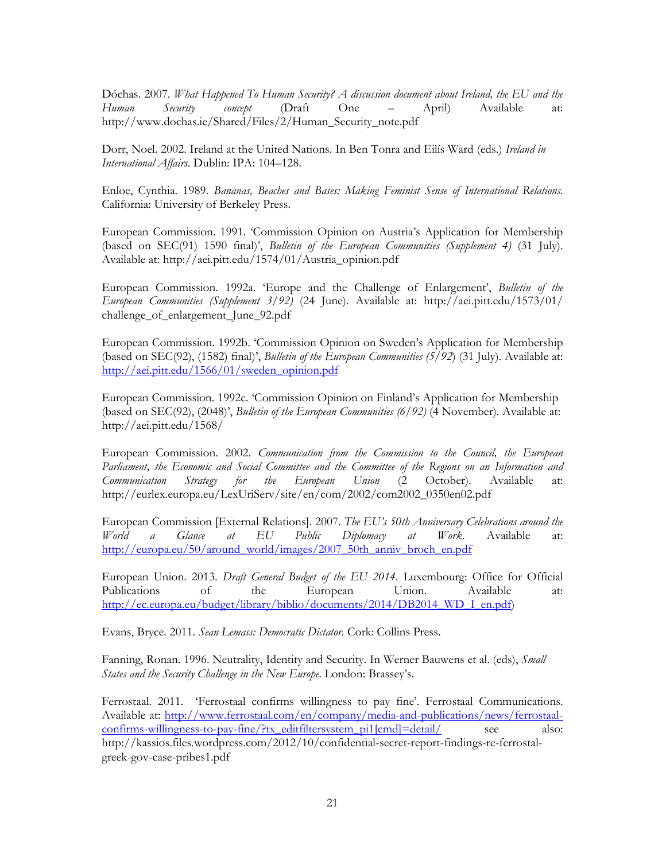Dóchas. 2007. What Happened To Human Security? A discussion document about Ireland, the EU and the Human Security concept (Draft One – April) Available at: http://www.dochas.ie/Shared/Files/2/Human\_Security\_note.pdf

Dorr, Noel. 2002. Ireland at the United Nations. In Ben Tonra and Eilís Ward (eds.) Ireland in International Affairs. Dublin: IPA: 104–128.

Enloe, Cynthia. 1989. Bananas, Beaches and Bases: Making Feminist Sense of International Relations. California: University of Berkeley Press.

European Commission. 1991. 'Commission Opinion on Austria's Application for Membership (based on SEC(91) 1590 final)', Bulletin of the European Communities (Supplement 4) (31 July). Available at: http://aei.pitt.edu/1574/01/Austria\_opinion.pdf

European Commission. 1992a. 'Europe and the Challenge of Enlargement', Bulletin of the European Communities (Supplement 3/92) (24 June). Available at: http://aei.pitt.edu/1573/01/ challenge\_of\_enlargement\_June\_92.pdf

European Commission. 1992b. 'Commission Opinion on Sweden's Application for Membership (based on SEC(92), (1582) final)', Bulletin of the European Communities  $(5/92)$  (31 July). Available at: http://aei.pitt.edu/1566/01/sweden\_opinion.pdf

European Commission. 1992c. 'Commission Opinion on Finland's Application for Membership (based on SEC(92), (2048)', *Bulletin of the European Communities (6/92)* (4 November). Available at: http://aei.pitt.edu/1568/

European Commission. 2002. Communication from the Commission to the Council, the European Parliament, the Economic and Social Committee and the Committee of the Regions on an Information and Communication Strategy for the European Union (2 October). Available at: http://eurlex.europa.eu/LexUriServ/site/en/com/2002/com2002\_0350en02.pdf

European Commission [External Relations]. 2007. The EU's 50th Anniversary Celebrations around the World a Glance at EU Public Diplomacy at Work. Available at: http://europa.eu/50/around\_world/images/2007\_50th\_anniv\_broch\_en.pdf

European Union. 2013. Draft General Budget of the EU 2014. Luxembourg: Office for Official Publications of the European Union. Available at: http://ec.europa.eu/budget/library/biblio/documents/2014/DB2014\_WD\_I\_en.pdf)

Evans, Bryce. 2011. Sean Lemass: Democratic Dictator. Cork: Collins Press.

Fanning, Ronan. 1996. Neutrality, Identity and Security. In Werner Bauwens et al. (eds), *Small* States and the Security Challenge in the New Europe. London: Brassey's.

Ferrostaal. 2011. 'Ferrostaal confirms willingness to pay fine'. Ferrostaal Communications. Available at: http://www.ferrostaal.com/en/company/media-and-publications/news/ferrostaalconfirms-willingness-to-pay-fine/?tx\_editfiltersystem\_pi1[cmd]=detail/ see also: http://kassios.files.wordpress.com/2012/10/confidential-secret-report-findings-re-ferrostalgreek-gov-case-pribes1.pdf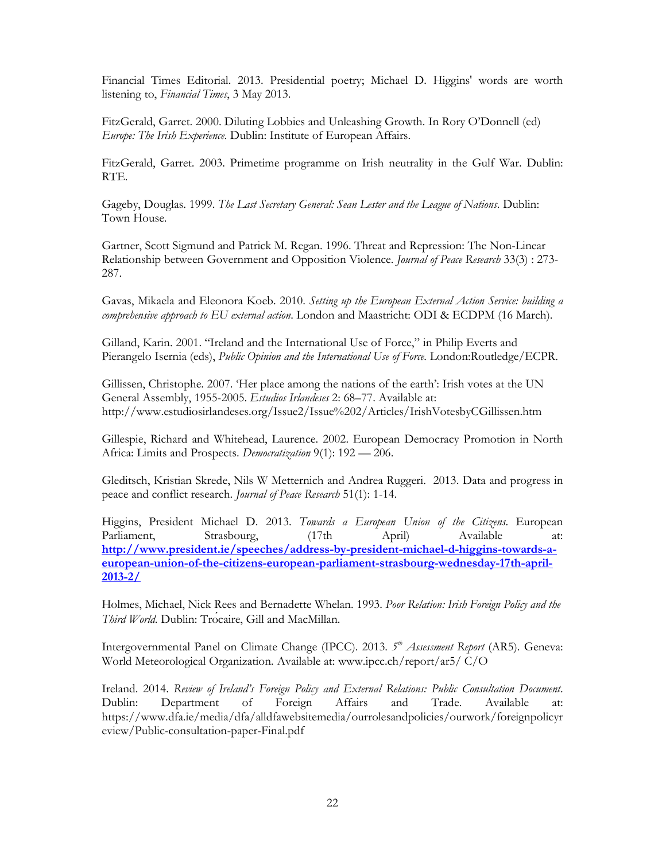Financial Times Editorial. 2013. Presidential poetry; Michael D. Higgins' words are worth listening to, Financial Times, 3 May 2013.

FitzGerald, Garret. 2000. Diluting Lobbies and Unleashing Growth. In Rory O'Donnell (ed) Europe: The Irish Experience. Dublin: Institute of European Affairs.

FitzGerald, Garret. 2003. Primetime programme on Irish neutrality in the Gulf War. Dublin: RTE.

Gageby, Douglas. 1999. The Last Secretary General: Sean Lester and the League of Nations. Dublin: Town House.

Gartner, Scott Sigmund and Patrick M. Regan. 1996. Threat and Repression: The Non-Linear Relationship between Government and Opposition Violence. Journal of Peace Research 33(3) : 273-287.

Gavas, Mikaela and Eleonora Koeb. 2010. Setting up the European External Action Service: building a comprehensive approach to EU external action. London and Maastricht: ODI & ECDPM (16 March).

Gilland, Karin. 2001. "Ireland and the International Use of Force," in Philip Everts and Pierangelo Isernia (eds), Public Opinion and the International Use of Force. London:Routledge/ECPR.

Gillissen, Christophe. 2007. 'Her place among the nations of the earth': Irish votes at the UN General Assembly, 1955-2005. Estudios Irlandeses 2: 68–77. Available at: http://www.estudiosirlandeses.org/Issue2/Issue%202/Articles/IrishVotesbyCGillissen.htm

Gillespie, Richard and Whitehead, Laurence. 2002. European Democracy Promotion in North Africa: Limits and Prospects. Democratization 9(1): 192 - 206.

Gleditsch, Kristian Skrede, Nils W Metternich and Andrea Ruggeri. 2013. Data and progress in peace and conflict research. Journal of Peace Research 51(1): 1-14.

Higgins, President Michael D. 2013. Towards a European Union of the Citizens. European Parliament, Strasbourg, (17th April) Available at: http://www.president.ie/speeches/address-by-president-michael-d-higgins-towards-aeuropean-union-of-the-citizens-european-parliament-strasbourg-wednesday-17th-april-2013-2/

Holmes, Michael, Nick Rees and Bernadette Whelan. 1993. Poor Relation: Irish Foreign Policy and the Third World. Dublin: Trocaire, Gill and MacMillan.

Intergovernmental Panel on Climate Change (IPCC). 2013. 5<sup>th</sup> Assessment Report (AR5). Geneva: World Meteorological Organization. Available at: www.ipcc.ch/report/ar5/ C/O

Ireland. 2014. Review of Ireland's Foreign Policy and External Relations: Public Consultation Document. Dublin: Department of Foreign Affairs and Trade. Available https://www.dfa.ie/media/dfa/alldfawebsitemedia/ourrolesandpolicies/ourwork/foreignpolicyr eview/Public-consultation-paper-Final.pdf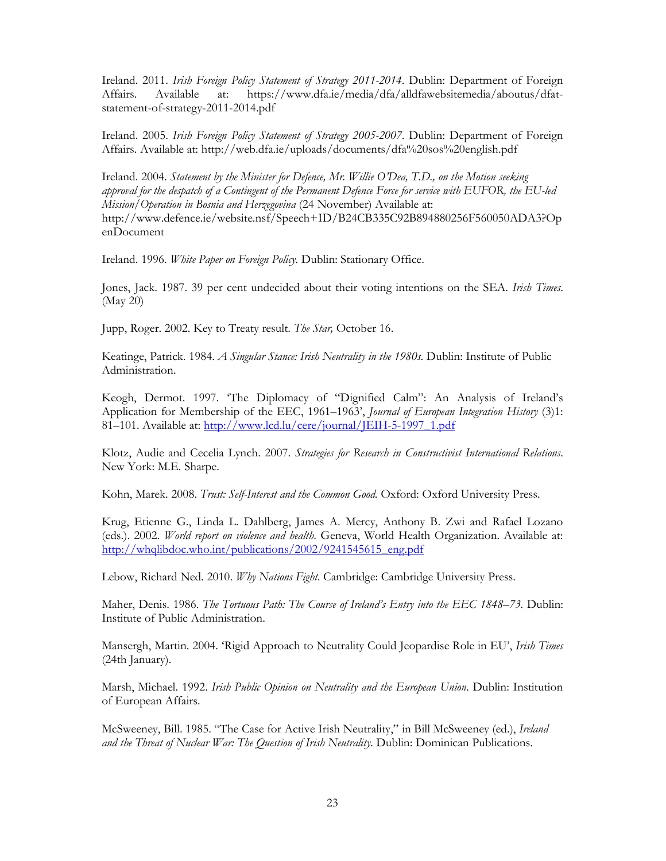Ireland. 2011. Irish Foreign Policy Statement of Strategy 2011-2014. Dublin: Department of Foreign Affairs. Available at: https://www.dfa.ie/media/dfa/alldfawebsitemedia/aboutus/dfatstatement-of-strategy-2011-2014.pdf

Ireland. 2005. Irish Foreign Policy Statement of Strategy 2005-2007. Dublin: Department of Foreign Affairs. Available at: http://web.dfa.ie/uploads/documents/dfa%20sos%20english.pdf

Ireland. 2004. Statement by the Minister for Defence, Mr. Willie O'Dea, T.D., on the Motion seeking approval for the despatch of a Contingent of the Permanent Defence Force for service with EUFOR, the EU-led Mission/Operation in Bosnia and Herzegovina (24 November) Available at: http://www.defence.ie/website.nsf/Speech+ID/B24CB335C92B894880256F560050ADA3?Op enDocument

Ireland. 1996. White Paper on Foreign Policy. Dublin: Stationary Office.

Jones, Jack. 1987. 39 per cent undecided about their voting intentions on the SEA. Irish Times. (May 20)

Jupp, Roger. 2002. Key to Treaty result. The Star, October 16.

Keatinge, Patrick. 1984. *A Singular Stance: Irish Neutrality in the 1980s*. Dublin: Institute of Public Administration.

Keogh, Dermot. 1997. 'The Diplomacy of "Dignified Calm": An Analysis of Ireland's Application for Membership of the EEC, 1961–1963', Journal of European Integration History (3)1: 81-101. Available at: http://www.lcd.lu/cere/journal/JEIH-5-1997\_1.pdf

Klotz, Audie and Cecelia Lynch. 2007. Strategies for Research in Constructivist International Relations. New York: M.E. Sharpe.

Kohn, Marek. 2008. Trust: Self-Interest and the Common Good. Oxford: Oxford University Press.

Krug, Etienne G., Linda L. Dahlberg, James A. Mercy, Anthony B. Zwi and Rafael Lozano (eds.). 2002. World report on violence and health. Geneva, World Health Organization. Available at: http://whqlibdoc.who.int/publications/2002/9241545615\_eng.pdf

Lebow, Richard Ned. 2010. Why Nations Fight. Cambridge: Cambridge University Press.

Maher, Denis. 1986. The Tortuous Path: The Course of Ireland's Entry into the EEC 1848–73. Dublin: Institute of Public Administration.

Mansergh, Martin. 2004. 'Rigid Approach to Neutrality Could Jeopardise Role in EU', Irish Times (24th January).

Marsh, Michael. 1992. *Irish Public Opinion on Neutrality and the European Union*. Dublin: Institution of European Affairs.

McSweeney, Bill. 1985. "The Case for Active Irish Neutrality," in Bill McSweeney (ed.), Ireland and the Threat of Nuclear War: The Question of Irish Neutrality. Dublin: Dominican Publications.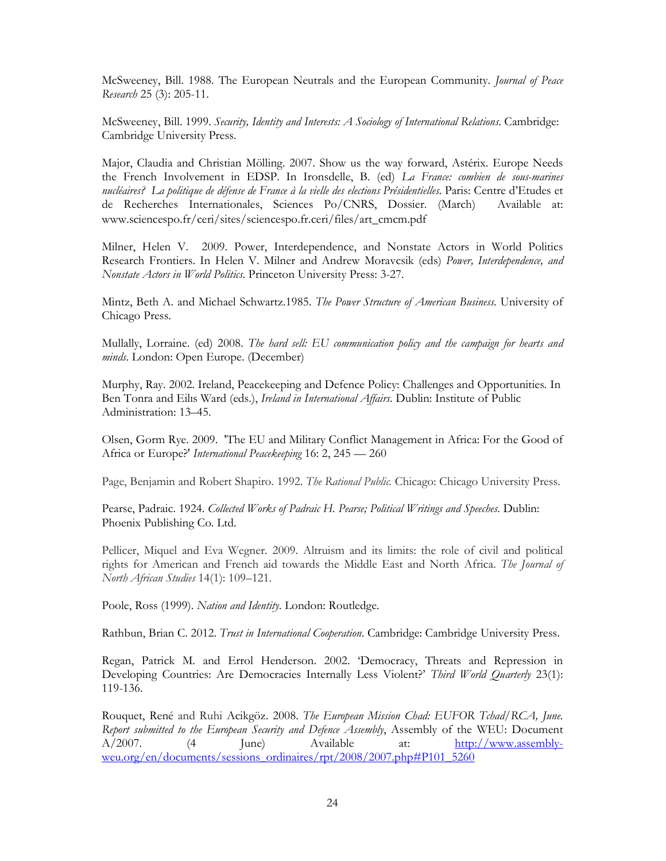McSweeney, Bill. 1988. The European Neutrals and the European Community. Journal of Peace Research 25 (3): 205-11.

McSweeney, Bill. 1999. Security, Identity and Interests: A Sociology of International Relations. Cambridge: Cambridge University Press.

Major, Claudia and Christian Mölling. 2007. Show us the way forward, Astérix. Europe Needs the French Involvement in EDSP. In Ironsdelle, B. (ed) La France: combien de sous-marines nucléaires? La politique de défense de France à la vielle des elections Présidentielles. Paris: Centre d'Etudes et de Recherches Internationales, Sciences Po/CNRS, Dossier. (March) Available at: www.sciencespo.fr/ceri/sites/sciencespo.fr.ceri/files/art\_cmcm.pdf

Milner, Helen V. 2009. Power, Interdependence, and Nonstate Actors in World Politics Research Frontiers. In Helen V. Milner and Andrew Moravcsik (eds) Power, Interdependence, and Nonstate Actors in World Politics. Princeton University Press: 3-27.

Mintz, Beth A. and Michael Schwartz.1985. The Power Structure of American Business. University of Chicago Press.

Mullally, Lorraine. (ed) 2008. The hard sell: EU communication policy and the campaign for hearts and minds. London: Open Europe. (December)

Murphy, Ray. 2002. Ireland, Peacekeeping and Defence Policy: Challenges and Opportunities. In Ben Tonra and Eilis Ward (eds.), *Ireland in International Affairs*. Dublin: Institute of Public Administration: 13–45.

Olsen, Gorm Rye. 2009. 'The EU and Military Conflict Management in Africa: For the Good of Africa or Europe?' International Peacekeeping 16: 2, 245 - 260

Page, Benjamin and Robert Shapiro. 1992. The Rational Public. Chicago: Chicago University Press.

Pearse, Padraic. 1924. Collected Works of Padraic H. Pearse; Political Writings and Speeches. Dublin: Phoenix Publishing Co. Ltd.

Pellicer, Miquel and Eva Wegner. 2009. Altruism and its limits: the role of civil and political rights for American and French aid towards the Middle East and North Africa. The Journal of North African Studies 14(1): 109–121.

Poole, Ross (1999). Nation and Identity. London: Routledge.

Rathbun, Brian C. 2012. Trust in International Cooperation. Cambridge: Cambridge University Press.

Regan, Patrick M. and Errol Henderson. 2002. 'Democracy, Threats and Repression in Developing Countries: Are Democracies Internally Less Violent?' Third World Quarterly 23(1): 119-136.

Rouquet, René and Ruhi Acikgöz. 2008. The European Mission Chad: EUFOR Tchad/RCA, June. Report submitted to the European Security and Defence Assembly, Assembly of the WEU: Document A/2007. (4 June) Available at: http://www.assemblyweu.org/en/documents/sessions\_ordinaires/rpt/2008/2007.php#P101\_5260